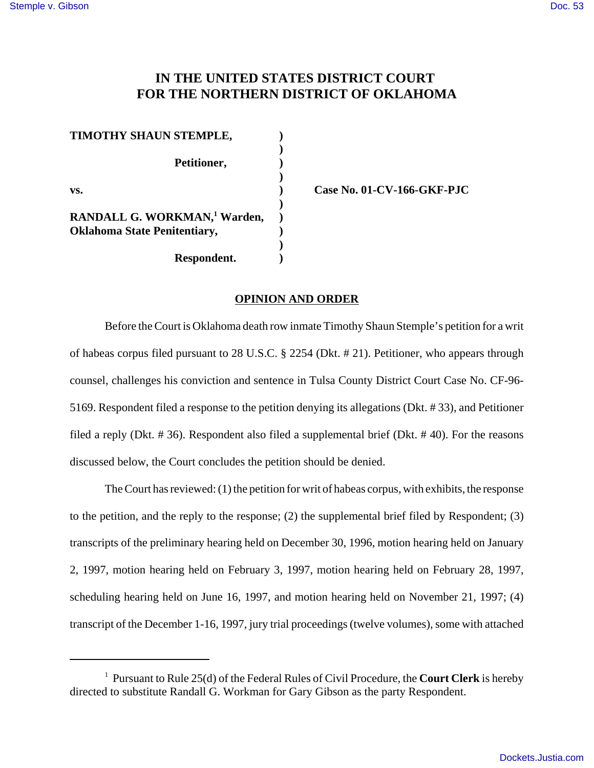# **IN THE UNITED STATES DISTRICT COURT FOR THE NORTHERN DISTRICT OF OKLAHOMA**

**)**

**)**

**)**

**)**

**Respondent. )**

**TIMOTHY SHAUN STEMPLE, ) Petitioner, ) vs. ) Case No. 01-CV-166-GKF-PJC RANDALL G. WORKMAN,<sup>1</sup> Warden, ) Oklahoma State Penitentiary, )**

### **OPINION AND ORDER**

Before the Court is Oklahoma death row inmate Timothy Shaun Stemple's petition for a writ of habeas corpus filed pursuant to 28 U.S.C. § 2254 (Dkt. # 21). Petitioner, who appears through counsel, challenges his conviction and sentence in Tulsa County District Court Case No. CF-96- 5169. Respondent filed a response to the petition denying its allegations (Dkt. # 33), and Petitioner filed a reply (Dkt. # 36). Respondent also filed a supplemental brief (Dkt. # 40). For the reasons discussed below, the Court concludes the petition should be denied.

The Court has reviewed: (1) the petition for writ of habeas corpus, with exhibits, the response to the petition, and the reply to the response; (2) the supplemental brief filed by Respondent; (3) transcripts of the preliminary hearing held on December 30, 1996, motion hearing held on January 2, 1997, motion hearing held on February 3, 1997, motion hearing held on February 28, 1997, scheduling hearing held on June 16, 1997, and motion hearing held on November 21, 1997; (4) transcript of the December 1-16, 1997, jury trial proceedings (twelve volumes), some with attached

<sup>1</sup> Pursuant to Rule 25(d) of the Federal Rules of Civil Procedure, the **Court Clerk** is hereby directed to substitute Randall G. Workman for Gary Gibson as the party Respondent.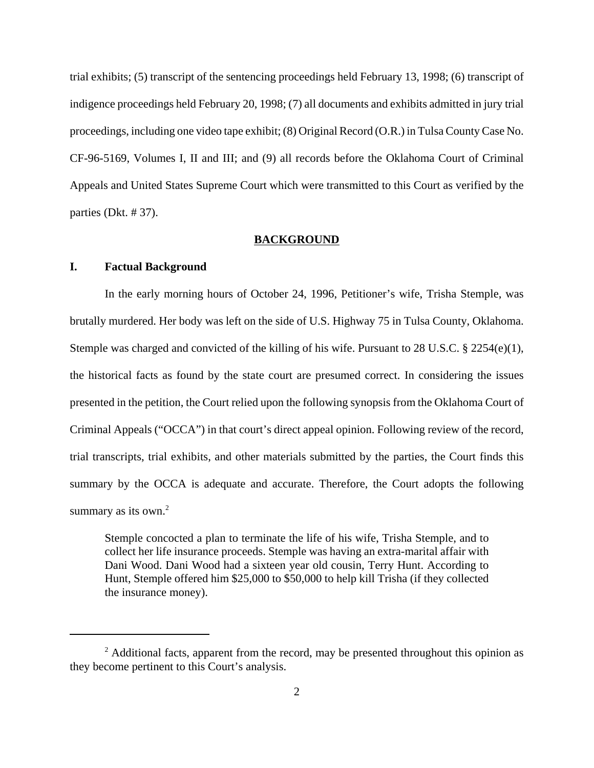trial exhibits; (5) transcript of the sentencing proceedings held February 13, 1998; (6) transcript of indigence proceedings held February 20, 1998; (7) all documents and exhibits admitted in jury trial proceedings, including one video tape exhibit; (8) Original Record (O.R.) in Tulsa County Case No. CF-96-5169, Volumes I, II and III; and (9) all records before the Oklahoma Court of Criminal Appeals and United States Supreme Court which were transmitted to this Court as verified by the parties (Dkt. # 37).

#### **BACKGROUND**

### **I. Factual Background**

In the early morning hours of October 24, 1996, Petitioner's wife, Trisha Stemple, was brutally murdered. Her body was left on the side of U.S. Highway 75 in Tulsa County, Oklahoma. Stemple was charged and convicted of the killing of his wife. Pursuant to 28 U.S.C.  $\S$  2254(e)(1), the historical facts as found by the state court are presumed correct. In considering the issues presented in the petition, the Court relied upon the following synopsis from the Oklahoma Court of Criminal Appeals ("OCCA") in that court's direct appeal opinion. Following review of the record, trial transcripts, trial exhibits, and other materials submitted by the parties, the Court finds this summary by the OCCA is adequate and accurate. Therefore, the Court adopts the following summary as its own. $2$ 

Stemple concocted a plan to terminate the life of his wife, Trisha Stemple, and to collect her life insurance proceeds. Stemple was having an extra-marital affair with Dani Wood. Dani Wood had a sixteen year old cousin, Terry Hunt. According to Hunt, Stemple offered him \$25,000 to \$50,000 to help kill Trisha (if they collected the insurance money).

<sup>&</sup>lt;sup>2</sup> Additional facts, apparent from the record, may be presented throughout this opinion as they become pertinent to this Court's analysis.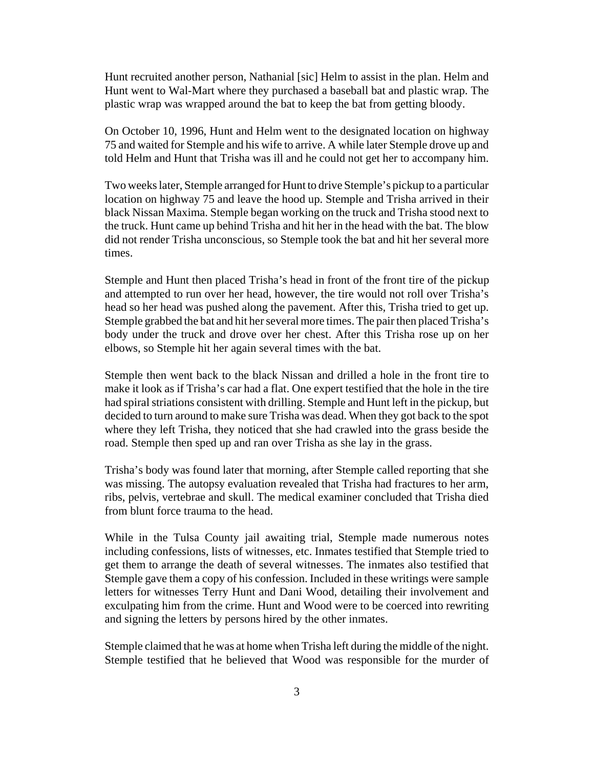Hunt recruited another person, Nathanial [sic] Helm to assist in the plan. Helm and Hunt went to Wal-Mart where they purchased a baseball bat and plastic wrap. The plastic wrap was wrapped around the bat to keep the bat from getting bloody.

On October 10, 1996, Hunt and Helm went to the designated location on highway 75 and waited for Stemple and his wife to arrive. A while later Stemple drove up and told Helm and Hunt that Trisha was ill and he could not get her to accompany him.

Two weeks later, Stemple arranged for Hunt to drive Stemple's pickup to a particular location on highway 75 and leave the hood up. Stemple and Trisha arrived in their black Nissan Maxima. Stemple began working on the truck and Trisha stood next to the truck. Hunt came up behind Trisha and hit her in the head with the bat. The blow did not render Trisha unconscious, so Stemple took the bat and hit her several more times.

Stemple and Hunt then placed Trisha's head in front of the front tire of the pickup and attempted to run over her head, however, the tire would not roll over Trisha's head so her head was pushed along the pavement. After this, Trisha tried to get up. Stemple grabbed the bat and hit her several more times. The pair then placed Trisha's body under the truck and drove over her chest. After this Trisha rose up on her elbows, so Stemple hit her again several times with the bat.

Stemple then went back to the black Nissan and drilled a hole in the front tire to make it look as if Trisha's car had a flat. One expert testified that the hole in the tire had spiral striations consistent with drilling. Stemple and Hunt left in the pickup, but decided to turn around to make sure Trisha was dead. When they got back to the spot where they left Trisha, they noticed that she had crawled into the grass beside the road. Stemple then sped up and ran over Trisha as she lay in the grass.

Trisha's body was found later that morning, after Stemple called reporting that she was missing. The autopsy evaluation revealed that Trisha had fractures to her arm, ribs, pelvis, vertebrae and skull. The medical examiner concluded that Trisha died from blunt force trauma to the head.

While in the Tulsa County jail awaiting trial, Stemple made numerous notes including confessions, lists of witnesses, etc. Inmates testified that Stemple tried to get them to arrange the death of several witnesses. The inmates also testified that Stemple gave them a copy of his confession. Included in these writings were sample letters for witnesses Terry Hunt and Dani Wood, detailing their involvement and exculpating him from the crime. Hunt and Wood were to be coerced into rewriting and signing the letters by persons hired by the other inmates.

Stemple claimed that he was at home when Trisha left during the middle of the night. Stemple testified that he believed that Wood was responsible for the murder of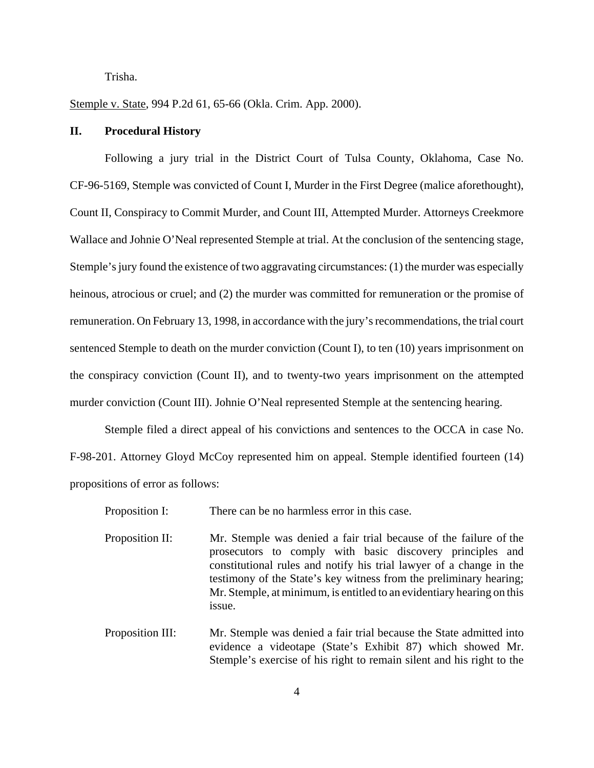Trisha.

Stemple v. State, 994 P.2d 61, 65-66 (Okla. Crim. App. 2000).

#### **II. Procedural History**

Following a jury trial in the District Court of Tulsa County, Oklahoma, Case No. CF-96-5169, Stemple was convicted of Count I, Murder in the First Degree (malice aforethought), Count II, Conspiracy to Commit Murder, and Count III, Attempted Murder. Attorneys Creekmore Wallace and Johnie O'Neal represented Stemple at trial. At the conclusion of the sentencing stage, Stemple's jury found the existence of two aggravating circumstances: (1) the murder was especially heinous, atrocious or cruel; and (2) the murder was committed for remuneration or the promise of remuneration. On February 13, 1998, in accordance with the jury's recommendations, the trial court sentenced Stemple to death on the murder conviction (Count I), to ten (10) years imprisonment on the conspiracy conviction (Count II), and to twenty-two years imprisonment on the attempted murder conviction (Count III). Johnie O'Neal represented Stemple at the sentencing hearing.

Stemple filed a direct appeal of his convictions and sentences to the OCCA in case No. F-98-201. Attorney Gloyd McCoy represented him on appeal. Stemple identified fourteen (14) propositions of error as follows:

| Proposition I:   | There can be no harmless error in this case.                                                                                                                                                                                                                                                                                                                    |
|------------------|-----------------------------------------------------------------------------------------------------------------------------------------------------------------------------------------------------------------------------------------------------------------------------------------------------------------------------------------------------------------|
| Proposition II:  | Mr. Stemple was denied a fair trial because of the failure of the<br>prosecutors to comply with basic discovery principles and<br>constitutional rules and notify his trial lawyer of a change in the<br>testimony of the State's key witness from the preliminary hearing;<br>Mr. Stemple, at minimum, is entitled to an evidentiary hearing on this<br>issue. |
| Proposition III: | Mr. Stemple was denied a fair trial because the State admitted into<br>evidence a videotape (State's Exhibit 87) which showed Mr.                                                                                                                                                                                                                               |

Stemple's exercise of his right to remain silent and his right to the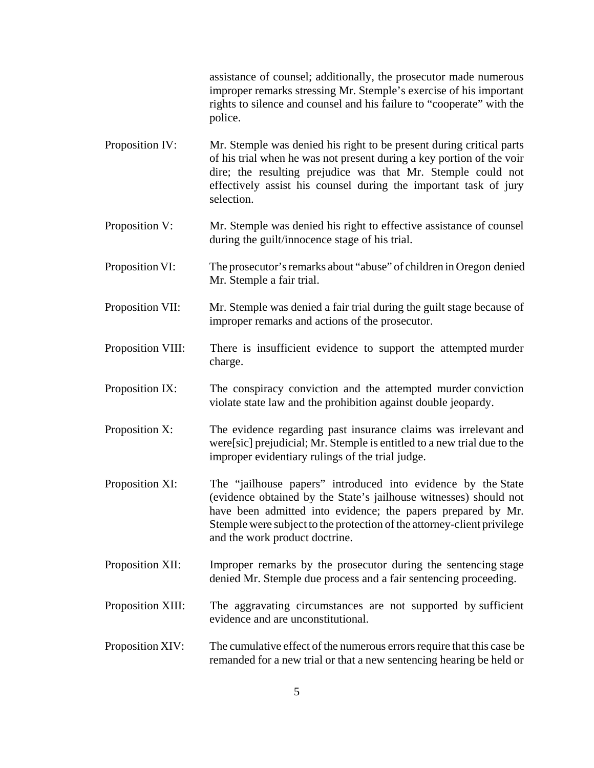assistance of counsel; additionally, the prosecutor made numerous improper remarks stressing Mr. Stemple's exercise of his important rights to silence and counsel and his failure to "cooperate" with the police.

- Proposition IV: Mr. Stemple was denied his right to be present during critical parts of his trial when he was not present during a key portion of the voir dire; the resulting prejudice was that Mr. Stemple could not effectively assist his counsel during the important task of jury selection.
- Proposition V: Mr. Stemple was denied his right to effective assistance of counsel during the guilt/innocence stage of his trial.
- Proposition VI: The prosecutor's remarks about "abuse" of children in Oregon denied Mr. Stemple a fair trial.
- Proposition VII: Mr. Stemple was denied a fair trial during the guilt stage because of improper remarks and actions of the prosecutor.
- Proposition VIII: There is insufficient evidence to support the attempted murder charge.
- Proposition IX: The conspiracy conviction and the attempted murder conviction violate state law and the prohibition against double jeopardy.
- Proposition X: The evidence regarding past insurance claims was irrelevant and were[sic] prejudicial; Mr. Stemple is entitled to a new trial due to the improper evidentiary rulings of the trial judge.
- Proposition XI: The "jailhouse papers" introduced into evidence by the State (evidence obtained by the State's jailhouse witnesses) should not have been admitted into evidence; the papers prepared by Mr. Stemple were subject to the protection of the attorney-client privilege and the work product doctrine.
- Proposition XII: Improper remarks by the prosecutor during the sentencing stage denied Mr. Stemple due process and a fair sentencing proceeding.
- Proposition XIII: The aggravating circumstances are not supported by sufficient evidence and are unconstitutional.
- Proposition XIV: The cumulative effect of the numerous errors require that this case be remanded for a new trial or that a new sentencing hearing be held or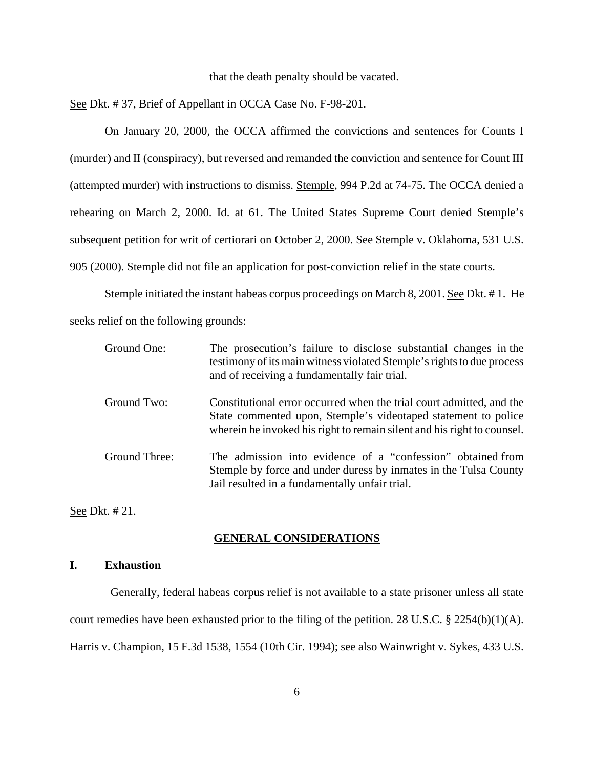#### that the death penalty should be vacated.

See Dkt. # 37, Brief of Appellant in OCCA Case No. F-98-201.

On January 20, 2000, the OCCA affirmed the convictions and sentences for Counts I (murder) and II (conspiracy), but reversed and remanded the conviction and sentence for Count III (attempted murder) with instructions to dismiss. Stemple, 994 P.2d at 74-75. The OCCA denied a rehearing on March 2, 2000. Id. at 61. The United States Supreme Court denied Stemple's subsequent petition for writ of certiorari on October 2, 2000. See Stemple v. Oklahoma, 531 U.S. 905 (2000). Stemple did not file an application for post-conviction relief in the state courts.

 Stemple initiated the instant habeas corpus proceedings on March 8, 2001. See Dkt. # 1. He seeks relief on the following grounds:

| Ground One:   | The prosecution's failure to disclose substantial changes in the<br>testimony of its main witness violated Stemple's rights to due process<br>and of receiving a fundamentally fair trial.                        |
|---------------|-------------------------------------------------------------------------------------------------------------------------------------------------------------------------------------------------------------------|
| Ground Two:   | Constitutional error occurred when the trial court admitted, and the<br>State commented upon, Stemple's videotaped statement to police<br>wherein he invoked his right to remain silent and his right to counsel. |
| Ground Three: | The admission into evidence of a "confession" obtained from<br>Stemple by force and under duress by inmates in the Tulsa County<br>Jail resulted in a fundamentally unfair trial.                                 |

See Dkt. # 21.

### **GENERAL CONSIDERATIONS**

### **I. Exhaustion**

 Generally, federal habeas corpus relief is not available to a state prisoner unless all state court remedies have been exhausted prior to the filing of the petition. 28 U.S.C. § 2254(b)(1)(A). Harris v. Champion, 15 F.3d 1538, 1554 (10th Cir. 1994); see also Wainwright v. Sykes, 433 U.S.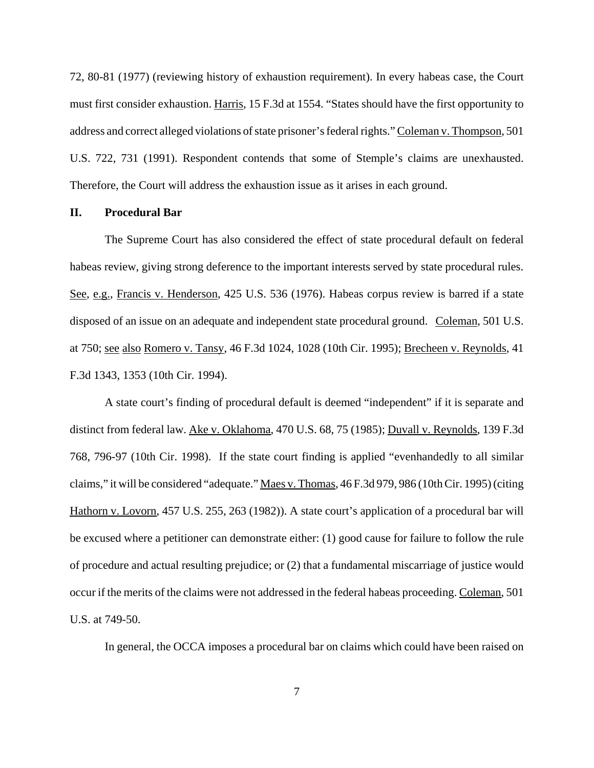72, 80-81 (1977) (reviewing history of exhaustion requirement). In every habeas case, the Court must first consider exhaustion. Harris, 15 F.3d at 1554. "States should have the first opportunity to address and correct alleged violations of state prisoner's federal rights." Coleman v. Thompson, 501 U.S. 722, 731 (1991). Respondent contends that some of Stemple's claims are unexhausted. Therefore, the Court will address the exhaustion issue as it arises in each ground.

#### **II. Procedural Bar**

The Supreme Court has also considered the effect of state procedural default on federal habeas review, giving strong deference to the important interests served by state procedural rules. See, e.g., Francis v. Henderson, 425 U.S. 536 (1976). Habeas corpus review is barred if a state disposed of an issue on an adequate and independent state procedural ground. Coleman, 501 U.S. at 750; see also Romero v. Tansy, 46 F.3d 1024, 1028 (10th Cir. 1995); Brecheen v. Reynolds, 41 F.3d 1343, 1353 (10th Cir. 1994).

A state court's finding of procedural default is deemed "independent" if it is separate and distinct from federal law. Ake v. Oklahoma, 470 U.S. 68, 75 (1985); Duvall v. Reynolds, 139 F.3d 768, 796-97 (10th Cir. 1998). If the state court finding is applied "evenhandedly to all similar claims," it will be considered "adequate." Maes v. Thomas, 46 F.3d 979, 986 (10th Cir. 1995) (citing Hathorn v. Lovorn, 457 U.S. 255, 263 (1982)). A state court's application of a procedural bar will be excused where a petitioner can demonstrate either: (1) good cause for failure to follow the rule of procedure and actual resulting prejudice; or (2) that a fundamental miscarriage of justice would occur if the merits of the claims were not addressed in the federal habeas proceeding. Coleman, 501 U.S. at 749-50.

In general, the OCCA imposes a procedural bar on claims which could have been raised on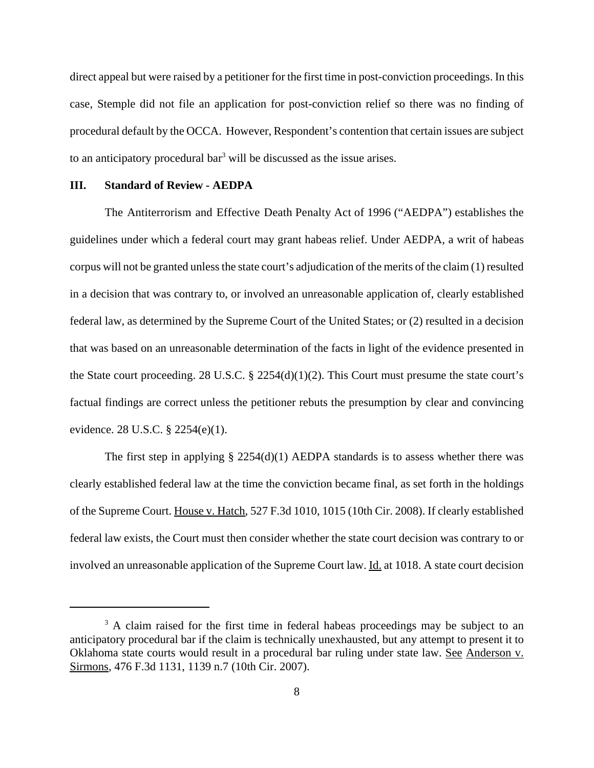direct appeal but were raised by a petitioner for the first time in post-conviction proceedings. In this case, Stemple did not file an application for post-conviction relief so there was no finding of procedural default by the OCCA. However, Respondent's contention that certain issues are subject to an anticipatory procedural bar<sup>3</sup> will be discussed as the issue arises.

#### **III. Standard of Review - AEDPA**

 The Antiterrorism and Effective Death Penalty Act of 1996 ("AEDPA") establishes the guidelines under which a federal court may grant habeas relief. Under AEDPA, a writ of habeas corpus will not be granted unless the state court's adjudication of the merits of the claim (1) resulted in a decision that was contrary to, or involved an unreasonable application of, clearly established federal law, as determined by the Supreme Court of the United States; or (2) resulted in a decision that was based on an unreasonable determination of the facts in light of the evidence presented in the State court proceeding. 28 U.S.C. § 2254(d)(1)(2). This Court must presume the state court's factual findings are correct unless the petitioner rebuts the presumption by clear and convincing evidence. 28 U.S.C. § 2254(e)(1).

The first step in applying  $\S 2254(d)(1)$  AEDPA standards is to assess whether there was clearly established federal law at the time the conviction became final, as set forth in the holdings of the Supreme Court. House v. Hatch, 527 F.3d 1010, 1015 (10th Cir. 2008). If clearly established federal law exists, the Court must then consider whether the state court decision was contrary to or involved an unreasonable application of the Supreme Court law. Id. at 1018. A state court decision

<sup>&</sup>lt;sup>3</sup> A claim raised for the first time in federal habeas proceedings may be subject to an anticipatory procedural bar if the claim is technically unexhausted, but any attempt to present it to Oklahoma state courts would result in a procedural bar ruling under state law. See Anderson v. Sirmons, 476 F.3d 1131, 1139 n.7 (10th Cir. 2007).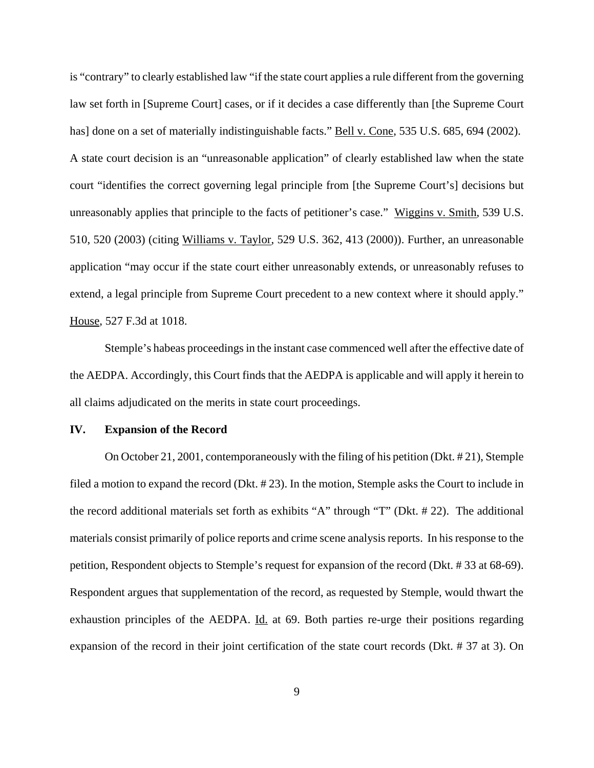is "contrary" to clearly established law "if the state court applies a rule different from the governing law set forth in [Supreme Court] cases, or if it decides a case differently than [the Supreme Court has] done on a set of materially indistinguishable facts." Bell v. Cone, 535 U.S. 685, 694 (2002). A state court decision is an "unreasonable application" of clearly established law when the state court "identifies the correct governing legal principle from [the Supreme Court's] decisions but unreasonably applies that principle to the facts of petitioner's case." Wiggins v. Smith, 539 U.S. 510, 520 (2003) (citing Williams v. Taylor, 529 U.S. 362, 413 (2000)). Further, an unreasonable application "may occur if the state court either unreasonably extends, or unreasonably refuses to extend, a legal principle from Supreme Court precedent to a new context where it should apply." House, 527 F.3d at 1018.

Stemple's habeas proceedings in the instant case commenced well after the effective date of the AEDPA. Accordingly, this Court finds that the AEDPA is applicable and will apply it herein to all claims adjudicated on the merits in state court proceedings.

### **IV. Expansion of the Record**

On October 21, 2001, contemporaneously with the filing of his petition (Dkt. # 21), Stemple filed a motion to expand the record (Dkt. # 23). In the motion, Stemple asks the Court to include in the record additional materials set forth as exhibits "A" through "T" (Dkt. # 22). The additional materials consist primarily of police reports and crime scene analysis reports. In his response to the petition, Respondent objects to Stemple's request for expansion of the record (Dkt. # 33 at 68-69). Respondent argues that supplementation of the record, as requested by Stemple, would thwart the exhaustion principles of the AEDPA. Id. at 69. Both parties re-urge their positions regarding expansion of the record in their joint certification of the state court records (Dkt. # 37 at 3). On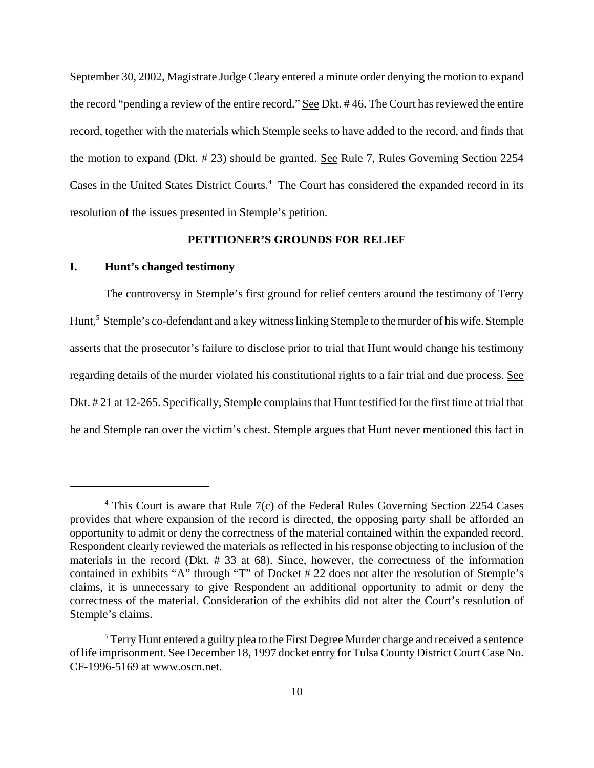September 30, 2002, Magistrate Judge Cleary entered a minute order denying the motion to expand the record "pending a review of the entire record." See Dkt. # 46. The Court has reviewed the entire record, together with the materials which Stemple seeks to have added to the record, and finds that the motion to expand (Dkt. # 23) should be granted. See Rule 7, Rules Governing Section 2254 Cases in the United States District Courts.<sup>4</sup> The Court has considered the expanded record in its resolution of the issues presented in Stemple's petition.

## **PETITIONER'S GROUNDS FOR RELIEF**

## **I. Hunt's changed testimony**

The controversy in Stemple's first ground for relief centers around the testimony of Terry Hunt,<sup>5</sup> Stemple's co-defendant and a key witness linking Stemple to the murder of his wife. Stemple asserts that the prosecutor's failure to disclose prior to trial that Hunt would change his testimony regarding details of the murder violated his constitutional rights to a fair trial and due process. See Dkt. # 21 at 12-265. Specifically, Stemple complains that Hunt testified for the first time at trial that he and Stemple ran over the victim's chest. Stemple argues that Hunt never mentioned this fact in

<sup>&</sup>lt;sup>4</sup> This Court is aware that Rule 7(c) of the Federal Rules Governing Section 2254 Cases provides that where expansion of the record is directed, the opposing party shall be afforded an opportunity to admit or deny the correctness of the material contained within the expanded record. Respondent clearly reviewed the materials as reflected in his response objecting to inclusion of the materials in the record (Dkt. # 33 at 68). Since, however, the correctness of the information contained in exhibits "A" through "T" of Docket # 22 does not alter the resolution of Stemple's claims, it is unnecessary to give Respondent an additional opportunity to admit or deny the correctness of the material. Consideration of the exhibits did not alter the Court's resolution of Stemple's claims.

 $<sup>5</sup>$  Terry Hunt entered a guilty plea to the First Degree Murder charge and received a sentence</sup> of life imprisonment. See December 18, 1997 docket entry for Tulsa County District Court Case No. CF-1996-5169 at www.oscn.net.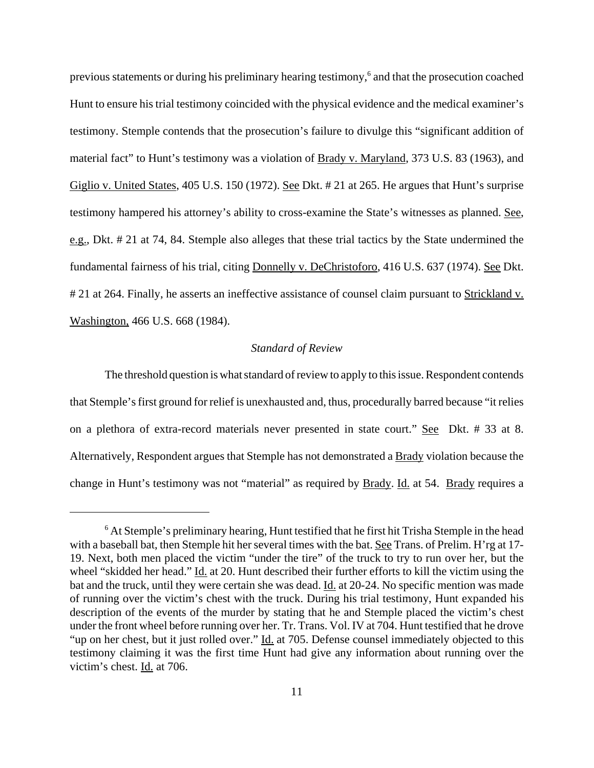previous statements or during his preliminary hearing testimony,<sup>6</sup> and that the prosecution coached Hunt to ensure his trial testimony coincided with the physical evidence and the medical examiner's testimony. Stemple contends that the prosecution's failure to divulge this "significant addition of material fact" to Hunt's testimony was a violation of Brady v. Maryland, 373 U.S. 83 (1963), and Giglio v. United States, 405 U.S. 150 (1972). See Dkt. # 21 at 265. He argues that Hunt's surprise testimony hampered his attorney's ability to cross-examine the State's witnesses as planned. See, e.g., Dkt. # 21 at 74, 84. Stemple also alleges that these trial tactics by the State undermined the fundamental fairness of his trial, citing Donnelly v. DeChristoforo, 416 U.S. 637 (1974). See Dkt. # 21 at 264. Finally, he asserts an ineffective assistance of counsel claim pursuant to Strickland v. Washington, 466 U.S. 668 (1984).

### *Standard of Review*

The threshold question is what standard of review to apply to this issue. Respondent contends that Stemple's first ground for relief is unexhausted and, thus, procedurally barred because "it relies on a plethora of extra-record materials never presented in state court." See Dkt. # 33 at 8. Alternatively, Respondent argues that Stemple has not demonstrated a Brady violation because the change in Hunt's testimony was not "material" as required by **Brady**. Id. at 54. Brady requires a

<sup>&</sup>lt;sup>6</sup> At Stemple's preliminary hearing, Hunt testified that he first hit Trisha Stemple in the head with a baseball bat, then Stemple hit her several times with the bat. See Trans. of Prelim. H'rg at 17- 19. Next, both men placed the victim "under the tire" of the truck to try to run over her, but the wheel "skidded her head." Id. at 20. Hunt described their further efforts to kill the victim using the bat and the truck, until they were certain she was dead. Id. at 20-24. No specific mention was made of running over the victim's chest with the truck. During his trial testimony, Hunt expanded his description of the events of the murder by stating that he and Stemple placed the victim's chest under the front wheel before running over her. Tr. Trans. Vol. IV at 704. Hunt testified that he drove "up on her chest, but it just rolled over." Id. at 705. Defense counsel immediately objected to this testimony claiming it was the first time Hunt had give any information about running over the victim's chest. Id. at 706.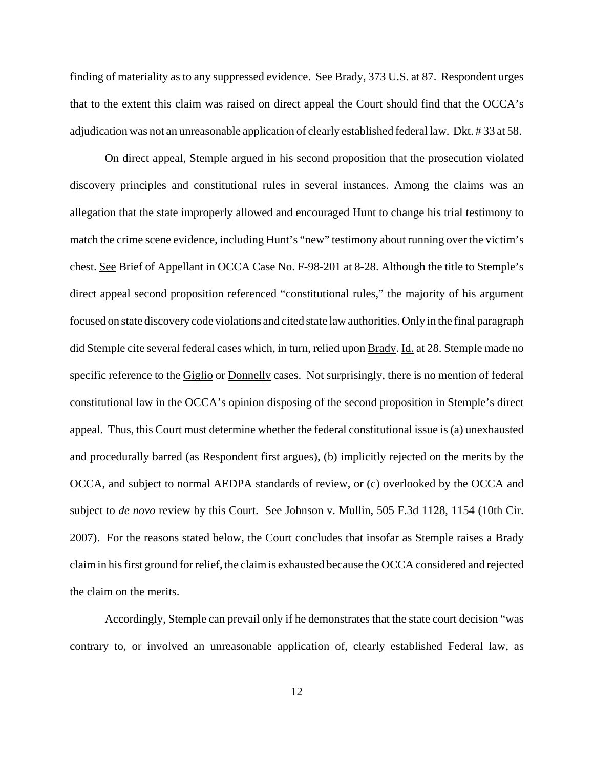finding of materiality as to any suppressed evidence. See Brady, 373 U.S. at 87. Respondent urges that to the extent this claim was raised on direct appeal the Court should find that the OCCA's adjudication was not an unreasonable application of clearly established federal law. Dkt. # 33 at 58.

On direct appeal, Stemple argued in his second proposition that the prosecution violated discovery principles and constitutional rules in several instances. Among the claims was an allegation that the state improperly allowed and encouraged Hunt to change his trial testimony to match the crime scene evidence, including Hunt's "new" testimony about running over the victim's chest. See Brief of Appellant in OCCA Case No. F-98-201 at 8-28. Although the title to Stemple's direct appeal second proposition referenced "constitutional rules," the majority of his argument focused on state discovery code violations and cited state law authorities. Only in the final paragraph did Stemple cite several federal cases which, in turn, relied upon Brady. Id. at 28. Stemple made no specific reference to the Giglio or Donnelly cases. Not surprisingly, there is no mention of federal constitutional law in the OCCA's opinion disposing of the second proposition in Stemple's direct appeal. Thus, this Court must determine whether the federal constitutional issue is (a) unexhausted and procedurally barred (as Respondent first argues), (b) implicitly rejected on the merits by the OCCA, and subject to normal AEDPA standards of review, or (c) overlooked by the OCCA and subject to *de novo* review by this Court. See Johnson v. Mullin, 505 F.3d 1128, 1154 (10th Cir. 2007). For the reasons stated below, the Court concludes that insofar as Stemple raises a **Brady** claim in his first ground for relief, the claim is exhausted because the OCCA considered and rejected the claim on the merits.

Accordingly, Stemple can prevail only if he demonstrates that the state court decision "was contrary to, or involved an unreasonable application of, clearly established Federal law, as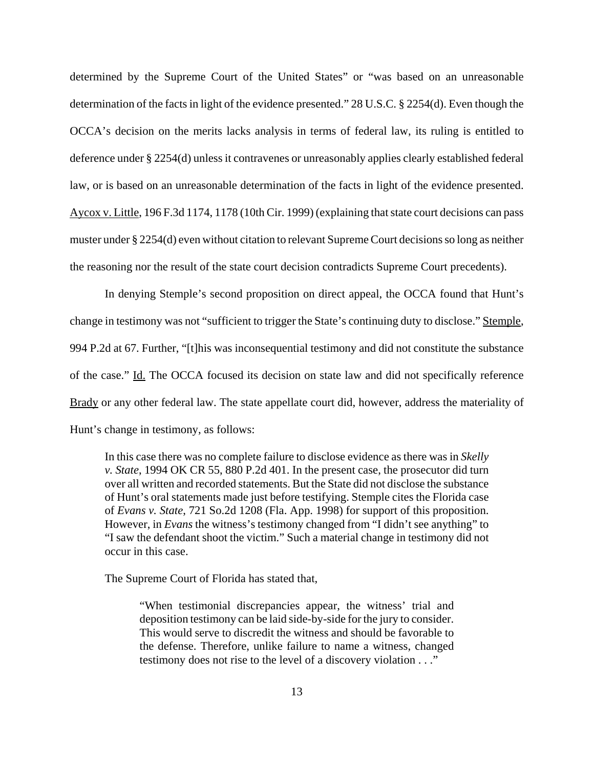determined by the Supreme Court of the United States" or "was based on an unreasonable determination of the facts in light of the evidence presented." 28 U.S.C. § 2254(d). Even though the OCCA's decision on the merits lacks analysis in terms of federal law, its ruling is entitled to deference under § 2254(d) unless it contravenes or unreasonably applies clearly established federal law, or is based on an unreasonable determination of the facts in light of the evidence presented. Aycox v. Little, 196 F.3d 1174, 1178 (10th Cir. 1999) (explaining that state court decisions can pass muster under § 2254(d) even without citation to relevant Supreme Court decisions so long as neither the reasoning nor the result of the state court decision contradicts Supreme Court precedents).

In denying Stemple's second proposition on direct appeal, the OCCA found that Hunt's change in testimony was not "sufficient to trigger the State's continuing duty to disclose." Stemple, 994 P.2d at 67. Further, "[t]his was inconsequential testimony and did not constitute the substance of the case." Id. The OCCA focused its decision on state law and did not specifically reference Brady or any other federal law. The state appellate court did, however, address the materiality of Hunt's change in testimony, as follows:

In this case there was no complete failure to disclose evidence as there was in *Skelly v. State*, 1994 OK CR 55, 880 P.2d 401. In the present case, the prosecutor did turn over all written and recorded statements. But the State did not disclose the substance of Hunt's oral statements made just before testifying. Stemple cites the Florida case of *Evans v. State*, 721 So.2d 1208 (Fla. App. 1998) for support of this proposition. However, in *Evans* the witness's testimony changed from "I didn't see anything" to "I saw the defendant shoot the victim." Such a material change in testimony did not occur in this case.

The Supreme Court of Florida has stated that,

"When testimonial discrepancies appear, the witness' trial and deposition testimony can be laid side-by-side for the jury to consider. This would serve to discredit the witness and should be favorable to the defense. Therefore, unlike failure to name a witness, changed testimony does not rise to the level of a discovery violation . . ."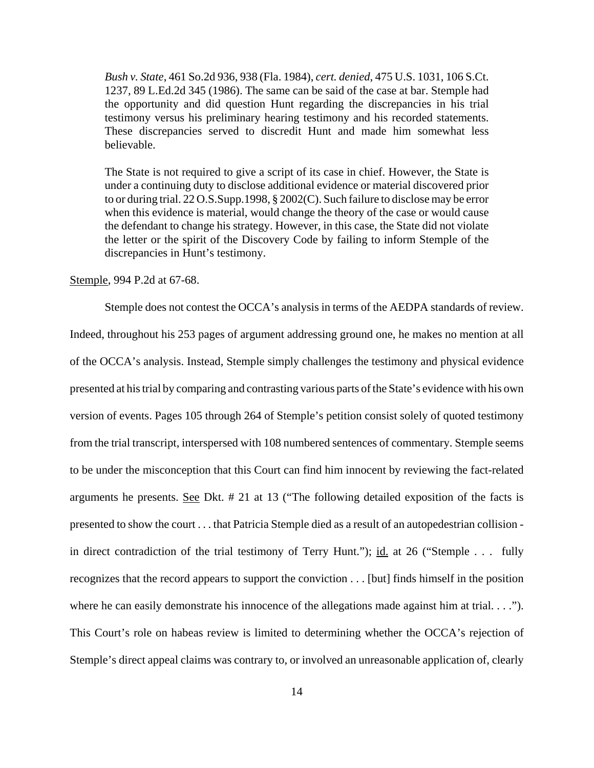*Bush v. State*, 461 So.2d 936, 938 (Fla. 1984), *cert. denied*, 475 U.S. 1031, 106 S.Ct. 1237, 89 L.Ed.2d 345 (1986). The same can be said of the case at bar. Stemple had the opportunity and did question Hunt regarding the discrepancies in his trial testimony versus his preliminary hearing testimony and his recorded statements. These discrepancies served to discredit Hunt and made him somewhat less believable.

The State is not required to give a script of its case in chief. However, the State is under a continuing duty to disclose additional evidence or material discovered prior to or during trial. 22 O.S.Supp.1998, § 2002(C). Such failure to disclose may be error when this evidence is material, would change the theory of the case or would cause the defendant to change his strategy. However, in this case, the State did not violate the letter or the spirit of the Discovery Code by failing to inform Stemple of the discrepancies in Hunt's testimony.

### Stemple, 994 P.2d at 67-68.

Stemple does not contest the OCCA's analysis in terms of the AEDPA standards of review. Indeed, throughout his 253 pages of argument addressing ground one, he makes no mention at all of the OCCA's analysis. Instead, Stemple simply challenges the testimony and physical evidence presented at his trial by comparing and contrasting various parts of the State's evidence with his own version of events. Pages 105 through 264 of Stemple's petition consist solely of quoted testimony from the trial transcript, interspersed with 108 numbered sentences of commentary. Stemple seems to be under the misconception that this Court can find him innocent by reviewing the fact-related arguments he presents. See Dkt. # 21 at 13 ("The following detailed exposition of the facts is presented to show the court . . . that Patricia Stemple died as a result of an autopedestrian collision in direct contradiction of the trial testimony of Terry Hunt."); id. at 26 ("Stemple . . . fully recognizes that the record appears to support the conviction . . . [but] finds himself in the position where he can easily demonstrate his innocence of the allegations made against him at trial. . . ."). This Court's role on habeas review is limited to determining whether the OCCA's rejection of Stemple's direct appeal claims was contrary to, or involved an unreasonable application of, clearly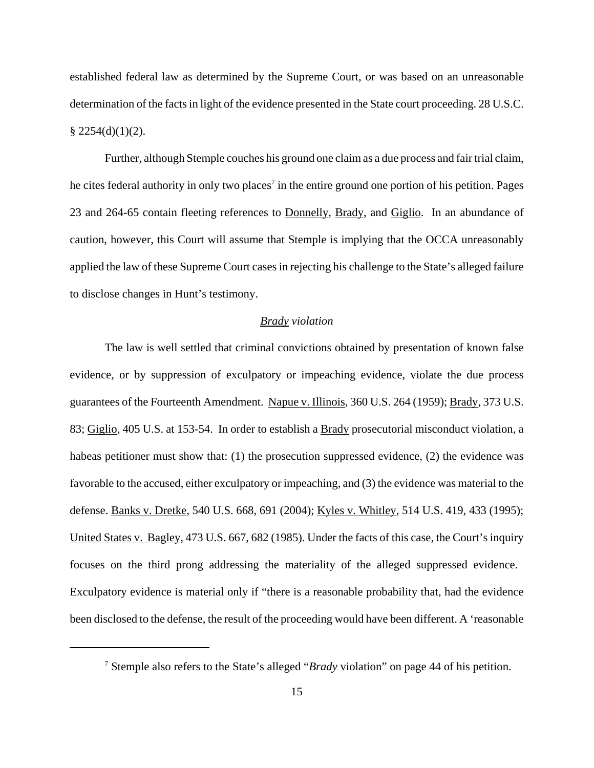established federal law as determined by the Supreme Court, or was based on an unreasonable determination of the facts in light of the evidence presented in the State court proceeding. 28 U.S.C.  $$2254(d)(1)(2).$ 

Further, although Stemple couches his ground one claim as a due process and fair trial claim, he cites federal authority in only two places<sup>7</sup> in the entire ground one portion of his petition. Pages 23 and 264-65 contain fleeting references to Donnelly, Brady, and Giglio. In an abundance of caution, however, this Court will assume that Stemple is implying that the OCCA unreasonably applied the law of these Supreme Court cases in rejecting his challenge to the State's alleged failure to disclose changes in Hunt's testimony.

### *Brady violation*

The law is well settled that criminal convictions obtained by presentation of known false evidence, or by suppression of exculpatory or impeaching evidence, violate the due process guarantees of the Fourteenth Amendment. Napue v. Illinois, 360 U.S. 264 (1959); Brady, 373 U.S. 83; Giglio, 405 U.S. at 153-54. In order to establish a Brady prosecutorial misconduct violation, a habeas petitioner must show that: (1) the prosecution suppressed evidence, (2) the evidence was favorable to the accused, either exculpatory or impeaching, and (3) the evidence was material to the defense. Banks v. Dretke, 540 U.S. 668, 691 (2004); Kyles v. Whitley, 514 U.S. 419, 433 (1995); United States v. Bagley, 473 U.S. 667, 682 (1985). Under the facts of this case, the Court's inquiry focuses on the third prong addressing the materiality of the alleged suppressed evidence. Exculpatory evidence is material only if "there is a reasonable probability that, had the evidence been disclosed to the defense, the result of the proceeding would have been different. A 'reasonable

<sup>7</sup> Stemple also refers to the State's alleged "*Brady* violation" on page 44 of his petition.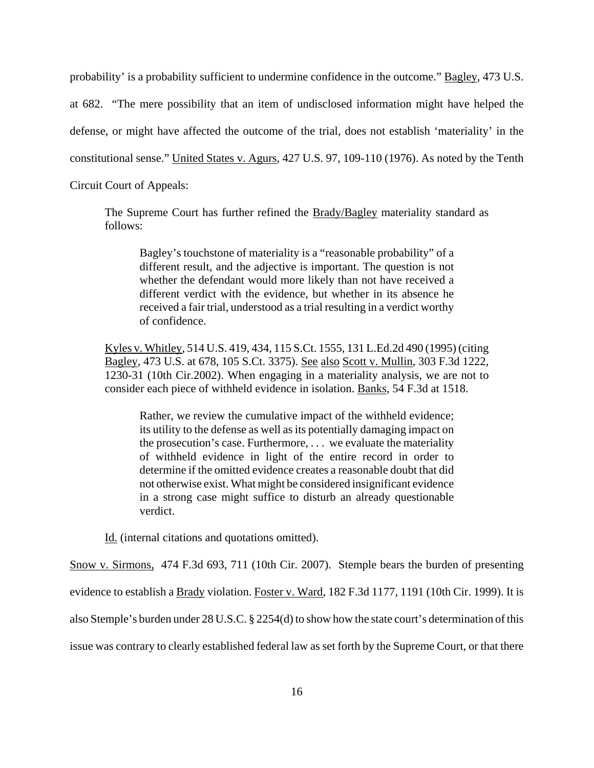probability' is a probability sufficient to undermine confidence in the outcome." Bagley, 473 U.S. at 682. "The mere possibility that an item of undisclosed information might have helped the defense, or might have affected the outcome of the trial, does not establish 'materiality' in the constitutional sense." United States v. Agurs, 427 U.S. 97, 109-110 (1976). As noted by the Tenth Circuit Court of Appeals:

The Supreme Court has further refined the Brady/Bagley materiality standard as follows:

Bagley's touchstone of materiality is a "reasonable probability" of a different result, and the adjective is important. The question is not whether the defendant would more likely than not have received a different verdict with the evidence, but whether in its absence he received a fair trial, understood as a trial resulting in a verdict worthy of confidence.

Kyles v. Whitley, 514 U.S. 419, 434, 115 S.Ct. 1555, 131 L.Ed.2d 490 (1995) (citing Bagley, 473 U.S. at 678, 105 S.Ct. 3375). See also Scott v. Mullin, 303 F.3d 1222, 1230-31 (10th Cir.2002). When engaging in a materiality analysis, we are not to consider each piece of withheld evidence in isolation. Banks, 54 F.3d at 1518.

Rather, we review the cumulative impact of the withheld evidence; its utility to the defense as well as its potentially damaging impact on the prosecution's case. Furthermore, . . . we evaluate the materiality of withheld evidence in light of the entire record in order to determine if the omitted evidence creates a reasonable doubt that did not otherwise exist. What might be considered insignificant evidence in a strong case might suffice to disturb an already questionable verdict.

Id. (internal citations and quotations omitted).

Snow v. Sirmons, 474 F.3d 693, 711 (10th Cir. 2007). Stemple bears the burden of presenting evidence to establish a Brady violation. Foster v. Ward, 182 F.3d 1177, 1191 (10th Cir. 1999). It is also Stemple's burden under 28 U.S.C. § 2254(d) to show how the state court's determination of this issue was contrary to clearly established federal law as set forth by the Supreme Court, or that there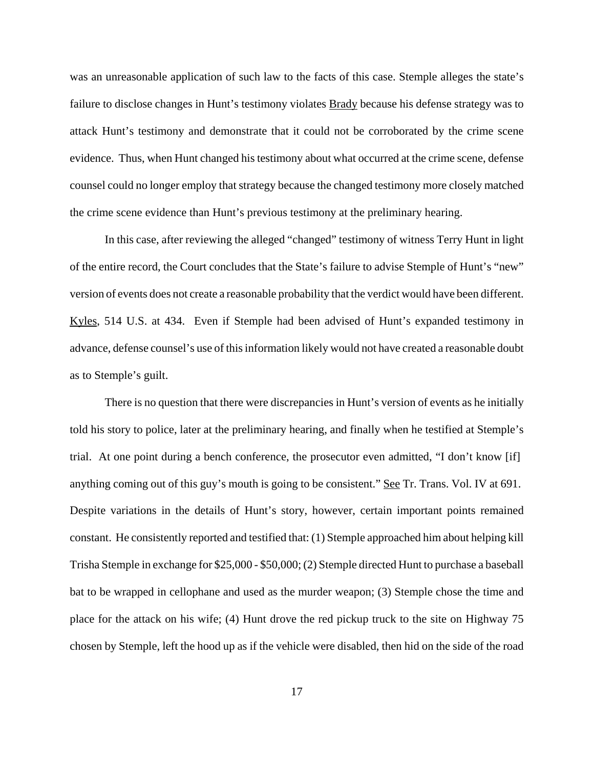was an unreasonable application of such law to the facts of this case. Stemple alleges the state's failure to disclose changes in Hunt's testimony violates **Brady** because his defense strategy was to attack Hunt's testimony and demonstrate that it could not be corroborated by the crime scene evidence. Thus, when Hunt changed his testimony about what occurred at the crime scene, defense counsel could no longer employ that strategy because the changed testimony more closely matched the crime scene evidence than Hunt's previous testimony at the preliminary hearing.

In this case, after reviewing the alleged "changed" testimony of witness Terry Hunt in light of the entire record, the Court concludes that the State's failure to advise Stemple of Hunt's "new" version of events does not create a reasonable probability that the verdict would have been different. Kyles, 514 U.S. at 434. Even if Stemple had been advised of Hunt's expanded testimony in advance, defense counsel's use of this information likely would not have created a reasonable doubt as to Stemple's guilt.

There is no question that there were discrepancies in Hunt's version of events as he initially told his story to police, later at the preliminary hearing, and finally when he testified at Stemple's trial. At one point during a bench conference, the prosecutor even admitted, "I don't know [if] anything coming out of this guy's mouth is going to be consistent." See Tr. Trans. Vol. IV at 691. Despite variations in the details of Hunt's story, however, certain important points remained constant. He consistently reported and testified that: (1) Stemple approached him about helping kill Trisha Stemple in exchange for \$25,000 - \$50,000; (2) Stemple directed Hunt to purchase a baseball bat to be wrapped in cellophane and used as the murder weapon; (3) Stemple chose the time and place for the attack on his wife; (4) Hunt drove the red pickup truck to the site on Highway 75 chosen by Stemple, left the hood up as if the vehicle were disabled, then hid on the side of the road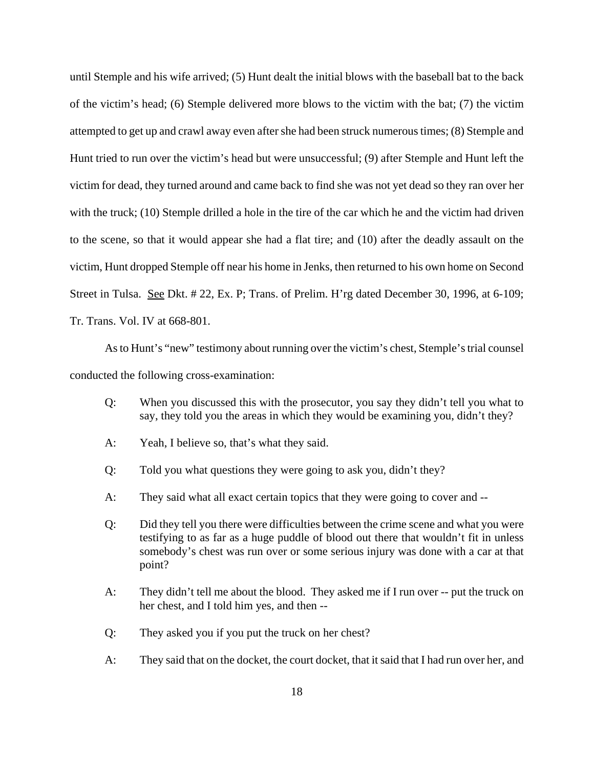until Stemple and his wife arrived; (5) Hunt dealt the initial blows with the baseball bat to the back of the victim's head; (6) Stemple delivered more blows to the victim with the bat; (7) the victim attempted to get up and crawl away even after she had been struck numerous times; (8) Stemple and Hunt tried to run over the victim's head but were unsuccessful; (9) after Stemple and Hunt left the victim for dead, they turned around and came back to find she was not yet dead so they ran over her with the truck; (10) Stemple drilled a hole in the tire of the car which he and the victim had driven to the scene, so that it would appear she had a flat tire; and (10) after the deadly assault on the victim, Hunt dropped Stemple off near his home in Jenks, then returned to his own home on Second Street in Tulsa. See Dkt. # 22, Ex. P; Trans. of Prelim. H'rg dated December 30, 1996, at 6-109; Tr. Trans. Vol. IV at 668-801.

As to Hunt's "new" testimony about running over the victim's chest, Stemple's trial counsel conducted the following cross-examination:

- Q: When you discussed this with the prosecutor, you say they didn't tell you what to say, they told you the areas in which they would be examining you, didn't they?
- A: Yeah, I believe so, that's what they said.
- Q: Told you what questions they were going to ask you, didn't they?
- A: They said what all exact certain topics that they were going to cover and --
- Q: Did they tell you there were difficulties between the crime scene and what you were testifying to as far as a huge puddle of blood out there that wouldn't fit in unless somebody's chest was run over or some serious injury was done with a car at that point?
- A: They didn't tell me about the blood. They asked me if I run over -- put the truck on her chest, and I told him yes, and then --
- Q: They asked you if you put the truck on her chest?
- A: They said that on the docket, the court docket, that it said that I had run over her, and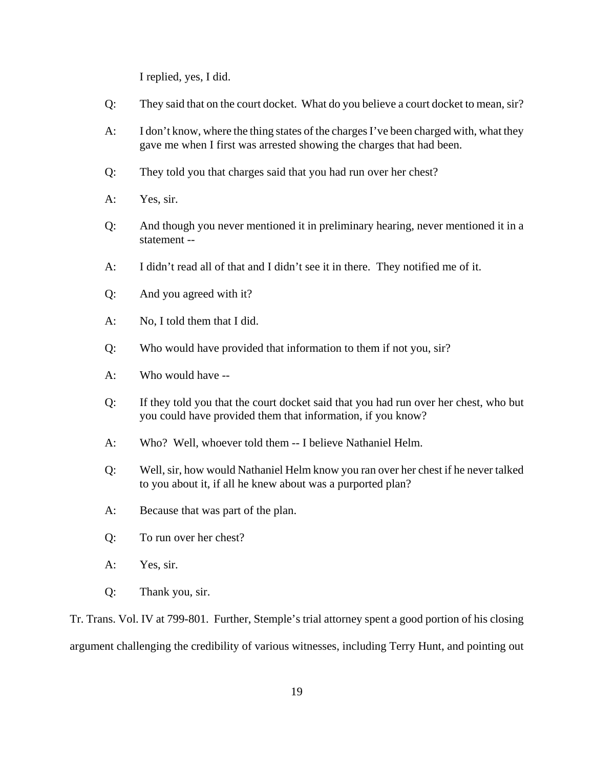I replied, yes, I did.

- Q: They said that on the court docket. What do you believe a court docket to mean, sir?
- A: I don't know, where the thing states of the charges I've been charged with, what they gave me when I first was arrested showing the charges that had been.
- Q: They told you that charges said that you had run over her chest?
- A: Yes, sir.
- Q: And though you never mentioned it in preliminary hearing, never mentioned it in a statement --
- A: I didn't read all of that and I didn't see it in there. They notified me of it.
- Q: And you agreed with it?
- A: No, I told them that I did.
- Q: Who would have provided that information to them if not you, sir?
- A: Who would have --
- Q: If they told you that the court docket said that you had run over her chest, who but you could have provided them that information, if you know?
- A: Who? Well, whoever told them -- I believe Nathaniel Helm.
- Q: Well, sir, how would Nathaniel Helm know you ran over her chest if he never talked to you about it, if all he knew about was a purported plan?
- A: Because that was part of the plan.
- Q: To run over her chest?
- A: Yes, sir.
- Q: Thank you, sir.

Tr. Trans. Vol. IV at 799-801. Further, Stemple's trial attorney spent a good portion of his closing argument challenging the credibility of various witnesses, including Terry Hunt, and pointing out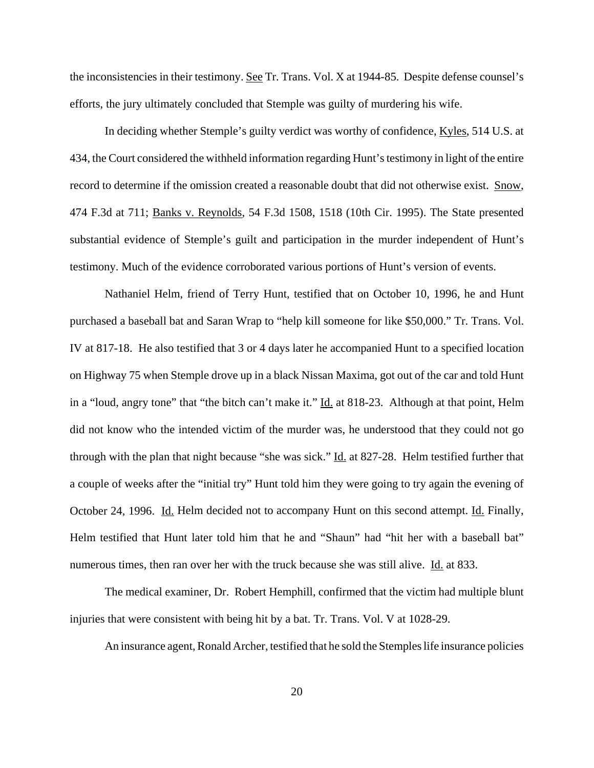the inconsistencies in their testimony. See Tr. Trans. Vol. X at 1944-85. Despite defense counsel's efforts, the jury ultimately concluded that Stemple was guilty of murdering his wife.

In deciding whether Stemple's guilty verdict was worthy of confidence, Kyles, 514 U.S. at 434, the Court considered the withheld information regarding Hunt's testimony in light of the entire record to determine if the omission created a reasonable doubt that did not otherwise exist. Snow, 474 F.3d at 711; Banks v. Reynolds, 54 F.3d 1508, 1518 (10th Cir. 1995). The State presented substantial evidence of Stemple's guilt and participation in the murder independent of Hunt's testimony. Much of the evidence corroborated various portions of Hunt's version of events.

Nathaniel Helm, friend of Terry Hunt, testified that on October 10, 1996, he and Hunt purchased a baseball bat and Saran Wrap to "help kill someone for like \$50,000." Tr. Trans. Vol. IV at 817-18. He also testified that 3 or 4 days later he accompanied Hunt to a specified location on Highway 75 when Stemple drove up in a black Nissan Maxima, got out of the car and told Hunt in a "loud, angry tone" that "the bitch can't make it." Id. at 818-23. Although at that point, Helm did not know who the intended victim of the murder was, he understood that they could not go through with the plan that night because "she was sick." Id. at 827-28. Helm testified further that a couple of weeks after the "initial try" Hunt told him they were going to try again the evening of October 24, 1996. Id. Helm decided not to accompany Hunt on this second attempt. Id. Finally, Helm testified that Hunt later told him that he and "Shaun" had "hit her with a baseball bat" numerous times, then ran over her with the truck because she was still alive. Id. at 833.

The medical examiner, Dr. Robert Hemphill, confirmed that the victim had multiple blunt injuries that were consistent with being hit by a bat. Tr. Trans. Vol. V at 1028-29.

An insurance agent, Ronald Archer, testified that he sold the Stemples life insurance policies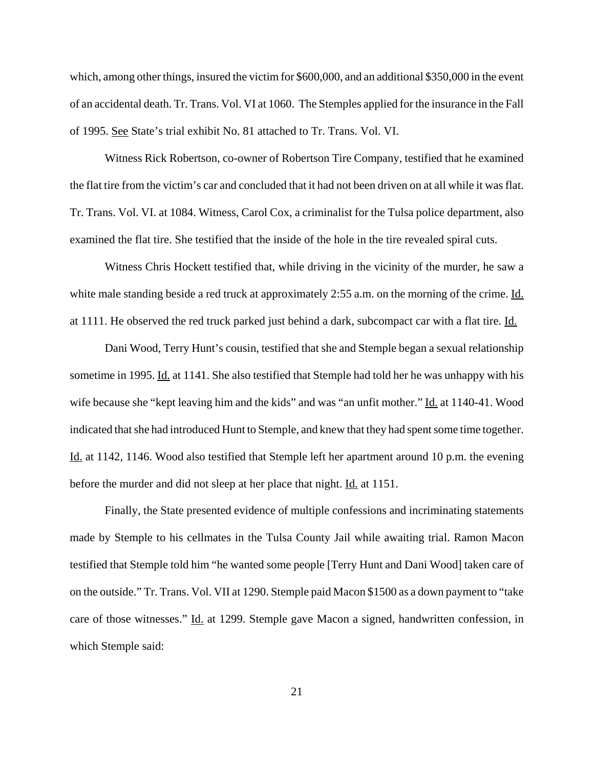which, among other things, insured the victim for \$600,000, and an additional \$350,000 in the event of an accidental death. Tr. Trans. Vol. VI at 1060. The Stemples applied for the insurance in the Fall of 1995. See State's trial exhibit No. 81 attached to Tr. Trans. Vol. VI.

Witness Rick Robertson, co-owner of Robertson Tire Company, testified that he examined the flat tire from the victim's car and concluded that it had not been driven on at all while it was flat. Tr. Trans. Vol. VI. at 1084. Witness, Carol Cox, a criminalist for the Tulsa police department, also examined the flat tire. She testified that the inside of the hole in the tire revealed spiral cuts.

Witness Chris Hockett testified that, while driving in the vicinity of the murder, he saw a white male standing beside a red truck at approximately 2:55 a.m. on the morning of the crime. Id. at 1111. He observed the red truck parked just behind a dark, subcompact car with a flat tire. Id.

Dani Wood, Terry Hunt's cousin, testified that she and Stemple began a sexual relationship sometime in 1995. Id. at 1141. She also testified that Stemple had told her he was unhappy with his wife because she "kept leaving him and the kids" and was "an unfit mother." Id. at 1140-41. Wood indicated that she had introduced Hunt to Stemple, and knew that they had spent some time together. Id. at 1142, 1146. Wood also testified that Stemple left her apartment around 10 p.m. the evening before the murder and did not sleep at her place that night. <u>Id.</u> at 1151.

Finally, the State presented evidence of multiple confessions and incriminating statements made by Stemple to his cellmates in the Tulsa County Jail while awaiting trial. Ramon Macon testified that Stemple told him "he wanted some people [Terry Hunt and Dani Wood] taken care of on the outside." Tr. Trans. Vol. VII at 1290. Stemple paid Macon \$1500 as a down payment to "take care of those witnesses." Id. at 1299. Stemple gave Macon a signed, handwritten confession, in which Stemple said: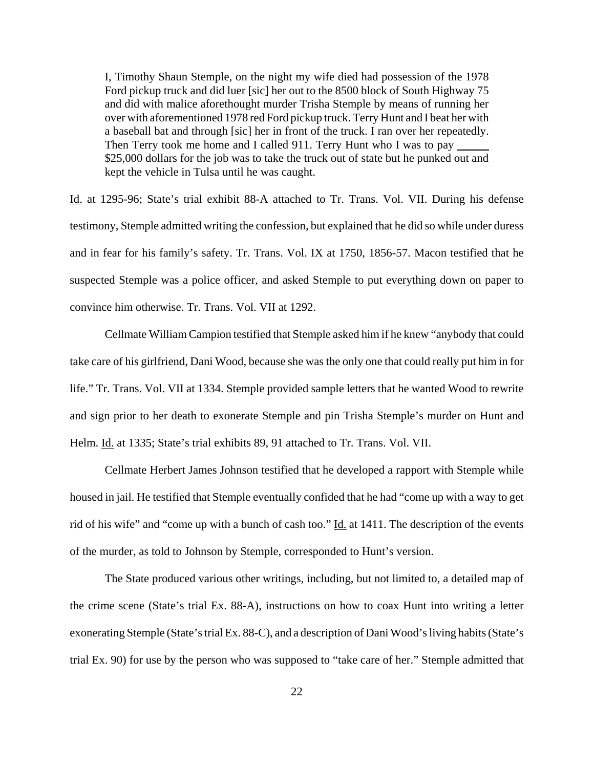I, Timothy Shaun Stemple, on the night my wife died had possession of the 1978 Ford pickup truck and did luer [sic] her out to the 8500 block of South Highway 75 and did with malice aforethought murder Trisha Stemple by means of running her over with aforementioned 1978 red Ford pickup truck. Terry Hunt and I beat her with a baseball bat and through [sic] her in front of the truck. I ran over her repeatedly. Then Terry took me home and I called 911. Terry Hunt who I was to pay \$25,000 dollars for the job was to take the truck out of state but he punked out and kept the vehicle in Tulsa until he was caught.

Id. at 1295-96; State's trial exhibit 88-A attached to Tr. Trans. Vol. VII. During his defense testimony, Stemple admitted writing the confession, but explained that he did so while under duress and in fear for his family's safety. Tr. Trans. Vol. IX at 1750, 1856-57. Macon testified that he suspected Stemple was a police officer, and asked Stemple to put everything down on paper to convince him otherwise. Tr. Trans. Vol. VII at 1292.

Cellmate William Campion testified that Stemple asked him if he knew "anybody that could take care of his girlfriend, Dani Wood, because she was the only one that could really put him in for life." Tr. Trans. Vol. VII at 1334. Stemple provided sample letters that he wanted Wood to rewrite and sign prior to her death to exonerate Stemple and pin Trisha Stemple's murder on Hunt and Helm. Id. at 1335; State's trial exhibits 89, 91 attached to Tr. Trans. Vol. VII.

Cellmate Herbert James Johnson testified that he developed a rapport with Stemple while housed in jail. He testified that Stemple eventually confided that he had "come up with a way to get rid of his wife" and "come up with a bunch of cash too." Id. at 1411. The description of the events of the murder, as told to Johnson by Stemple, corresponded to Hunt's version.

The State produced various other writings, including, but not limited to, a detailed map of the crime scene (State's trial Ex. 88-A), instructions on how to coax Hunt into writing a letter exonerating Stemple (State's trial Ex. 88-C), and a description of Dani Wood's living habits (State's trial Ex. 90) for use by the person who was supposed to "take care of her." Stemple admitted that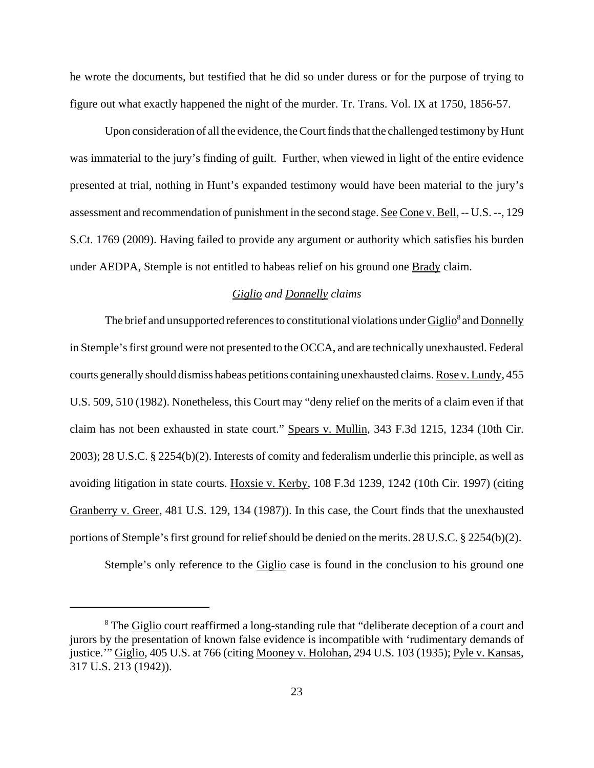he wrote the documents, but testified that he did so under duress or for the purpose of trying to figure out what exactly happened the night of the murder. Tr. Trans. Vol. IX at 1750, 1856-57.

Upon consideration of all the evidence, the Court finds that the challenged testimony by Hunt was immaterial to the jury's finding of guilt. Further, when viewed in light of the entire evidence presented at trial, nothing in Hunt's expanded testimony would have been material to the jury's assessment and recommendation of punishment in the second stage. See Cone v. Bell, -- U.S. --, 129 S.Ct. 1769 (2009). Having failed to provide any argument or authority which satisfies his burden under AEDPA, Stemple is not entitled to habeas relief on his ground one **Brady** claim.

### *Giglio and Donnelly claims*

The brief and unsupported references to constitutional violations under Giglio<sup>8</sup> and Donnelly in Stemple's first ground were not presented to the OCCA, and are technically unexhausted. Federal courts generally should dismiss habeas petitions containing unexhausted claims. Rose v. Lundy, 455 U.S. 509, 510 (1982). Nonetheless, this Court may "deny relief on the merits of a claim even if that claim has not been exhausted in state court." Spears v. Mullin, 343 F.3d 1215, 1234 (10th Cir. 2003); 28 U.S.C. § 2254(b)(2). Interests of comity and federalism underlie this principle, as well as avoiding litigation in state courts. Hoxsie v. Kerby, 108 F.3d 1239, 1242 (10th Cir. 1997) (citing Granberry v. Greer, 481 U.S. 129, 134 (1987)). In this case, the Court finds that the unexhausted portions of Stemple's first ground for relief should be denied on the merits. 28 U.S.C. § 2254(b)(2).

Stemple's only reference to the **Giglio** case is found in the conclusion to his ground one

<sup>&</sup>lt;sup>8</sup> The **Giglio** court reaffirmed a long-standing rule that "deliberate deception of a court and jurors by the presentation of known false evidence is incompatible with 'rudimentary demands of justice.'" Giglio, 405 U.S. at 766 (citing Mooney v. Holohan, 294 U.S. 103 (1935); Pyle v. Kansas, 317 U.S. 213 (1942)).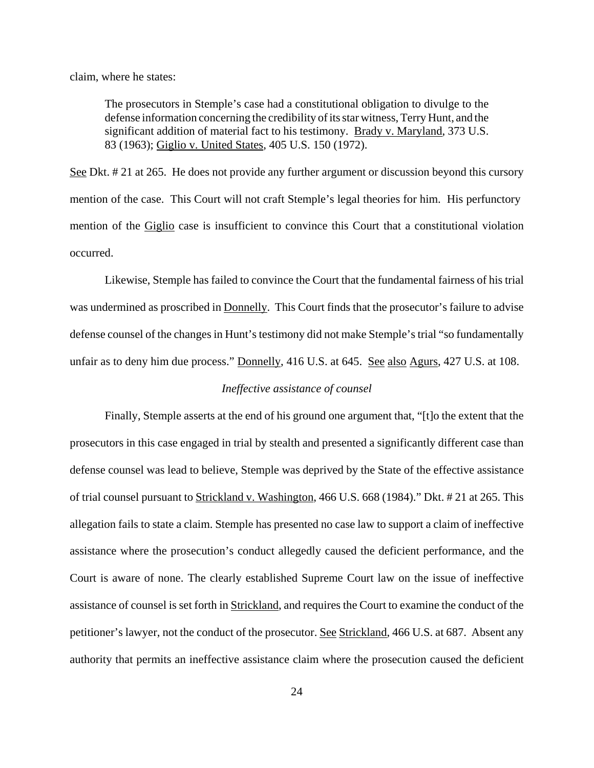claim, where he states:

The prosecutors in Stemple's case had a constitutional obligation to divulge to the defense information concerning the credibility of its star witness, Terry Hunt, and the significant addition of material fact to his testimony. Brady v. Maryland, 373 U.S. 83 (1963); Giglio v. United States, 405 U.S. 150 (1972).

See Dkt. # 21 at 265. He does not provide any further argument or discussion beyond this cursory mention of the case. This Court will not craft Stemple's legal theories for him. His perfunctory mention of the Giglio case is insufficient to convince this Court that a constitutional violation occurred.

Likewise, Stemple has failed to convince the Court that the fundamental fairness of his trial was undermined as proscribed in Donnelly. This Court finds that the prosecutor's failure to advise defense counsel of the changes in Hunt's testimony did not make Stemple's trial "so fundamentally unfair as to deny him due process." Donnelly, 416 U.S. at 645. See also Agurs, 427 U.S. at 108.

### *Ineffective assistance of counsel*

Finally, Stemple asserts at the end of his ground one argument that, "[t]o the extent that the prosecutors in this case engaged in trial by stealth and presented a significantly different case than defense counsel was lead to believe, Stemple was deprived by the State of the effective assistance of trial counsel pursuant to Strickland v. Washington, 466 U.S. 668 (1984)." Dkt. # 21 at 265. This allegation fails to state a claim. Stemple has presented no case law to support a claim of ineffective assistance where the prosecution's conduct allegedly caused the deficient performance, and the Court is aware of none. The clearly established Supreme Court law on the issue of ineffective assistance of counsel is set forth in Strickland, and requires the Court to examine the conduct of the petitioner's lawyer, not the conduct of the prosecutor. <u>See Strickland</u>, 466 U.S. at 687. Absent any authority that permits an ineffective assistance claim where the prosecution caused the deficient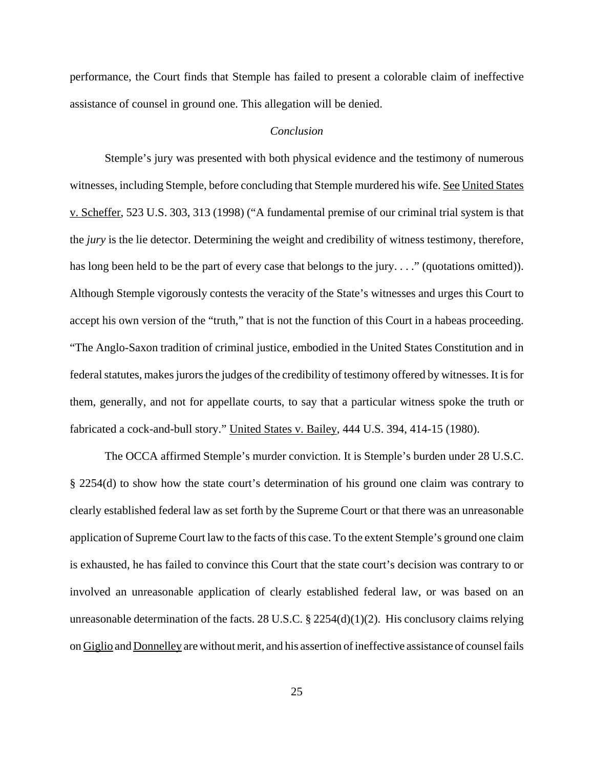performance, the Court finds that Stemple has failed to present a colorable claim of ineffective assistance of counsel in ground one. This allegation will be denied.

#### *Conclusion*

 Stemple's jury was presented with both physical evidence and the testimony of numerous witnesses, including Stemple, before concluding that Stemple murdered his wife. See United States v. Scheffer, 523 U.S. 303, 313 (1998) ("A fundamental premise of our criminal trial system is that the *jury* is the lie detector. Determining the weight and credibility of witness testimony, therefore, has long been held to be the part of every case that belongs to the jury. . . ." (quotations omitted)). Although Stemple vigorously contests the veracity of the State's witnesses and urges this Court to accept his own version of the "truth," that is not the function of this Court in a habeas proceeding. "The Anglo-Saxon tradition of criminal justice, embodied in the United States Constitution and in federal statutes, makes jurors the judges of the credibility of testimony offered by witnesses. It is for them, generally, and not for appellate courts, to say that a particular witness spoke the truth or fabricated a cock-and-bull story." United States v. Bailey, 444 U.S. 394, 414-15 (1980).

The OCCA affirmed Stemple's murder conviction. It is Stemple's burden under 28 U.S.C. § 2254(d) to show how the state court's determination of his ground one claim was contrary to clearly established federal law as set forth by the Supreme Court or that there was an unreasonable application of Supreme Court law to the facts of this case. To the extent Stemple's ground one claim is exhausted, he has failed to convince this Court that the state court's decision was contrary to or involved an unreasonable application of clearly established federal law, or was based on an unreasonable determination of the facts. 28 U.S.C. § 2254(d)(1)(2). His conclusory claims relying on Giglio and Donnelley are without merit, and his assertion of ineffective assistance of counsel fails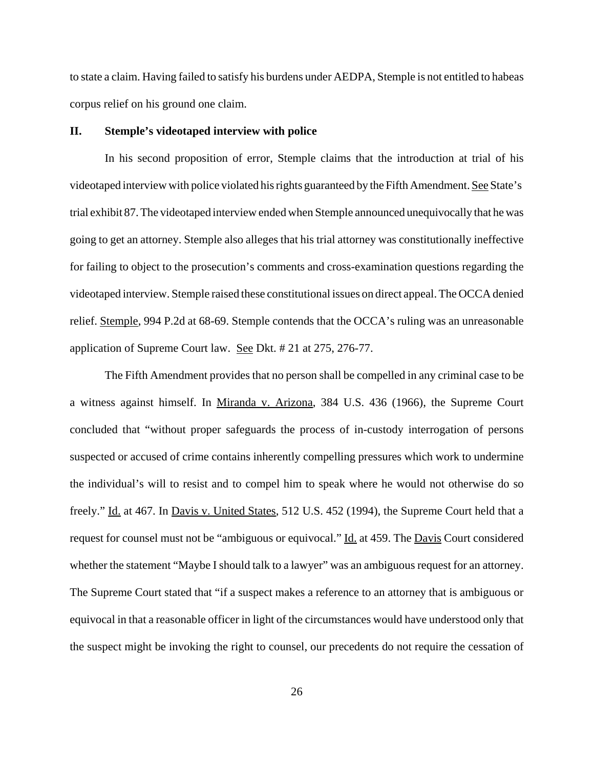to state a claim. Having failed to satisfy his burdens under AEDPA, Stemple is not entitled to habeas corpus relief on his ground one claim.

### **II. Stemple's videotaped interview with police**

In his second proposition of error, Stemple claims that the introduction at trial of his videotaped interview with police violated his rights guaranteed by the Fifth Amendment. See State's trial exhibit 87. The videotaped interview ended when Stemple announced unequivocally that he was going to get an attorney. Stemple also alleges that his trial attorney was constitutionally ineffective for failing to object to the prosecution's comments and cross-examination questions regarding the videotaped interview. Stemple raised these constitutional issues on direct appeal. The OCCA denied relief. Stemple, 994 P.2d at 68-69. Stemple contends that the OCCA's ruling was an unreasonable application of Supreme Court law. See Dkt. # 21 at 275, 276-77.

The Fifth Amendment provides that no person shall be compelled in any criminal case to be a witness against himself. In Miranda v. Arizona, 384 U.S. 436 (1966), the Supreme Court concluded that "without proper safeguards the process of in-custody interrogation of persons suspected or accused of crime contains inherently compelling pressures which work to undermine the individual's will to resist and to compel him to speak where he would not otherwise do so freely." Id. at 467. In Davis v. United States, 512 U.S. 452 (1994), the Supreme Court held that a request for counsel must not be "ambiguous or equivocal." Id. at 459. The Davis Court considered whether the statement "Maybe I should talk to a lawyer" was an ambiguous request for an attorney. The Supreme Court stated that "if a suspect makes a reference to an attorney that is ambiguous or equivocal in that a reasonable officer in light of the circumstances would have understood only that the suspect might be invoking the right to counsel, our precedents do not require the cessation of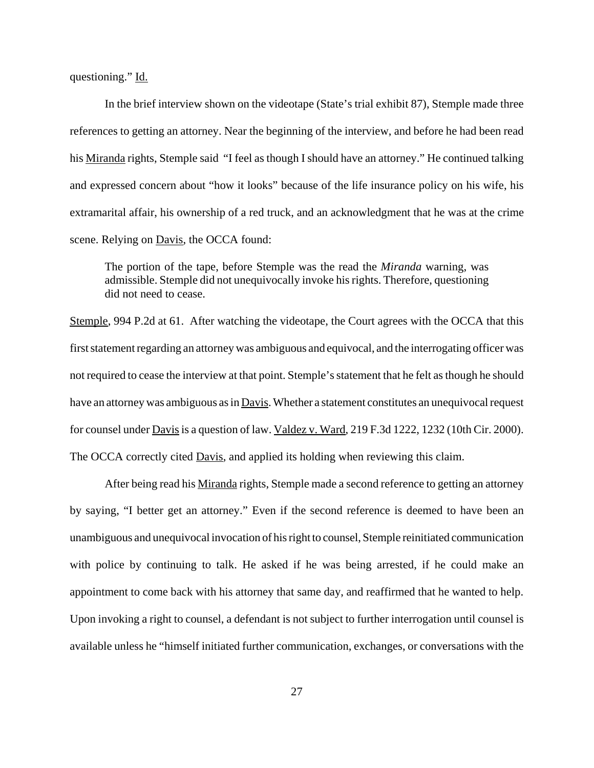questioning." Id.

In the brief interview shown on the videotape (State's trial exhibit 87), Stemple made three references to getting an attorney. Near the beginning of the interview, and before he had been read his Miranda rights, Stemple said "I feel as though I should have an attorney." He continued talking and expressed concern about "how it looks" because of the life insurance policy on his wife, his extramarital affair, his ownership of a red truck, and an acknowledgment that he was at the crime scene. Relying on Davis, the OCCA found:

The portion of the tape, before Stemple was the read the *Miranda* warning, was admissible. Stemple did not unequivocally invoke his rights. Therefore, questioning did not need to cease.

Stemple, 994 P.2d at 61. After watching the videotape, the Court agrees with the OCCA that this first statement regarding an attorney was ambiguous and equivocal, and the interrogating officer was not required to cease the interview at that point. Stemple's statement that he felt as though he should have an attorney was ambiguous as in Davis. Whether a statement constitutes an unequivocal request for counsel under Davis is a question of law. Valdez v. Ward, 219 F.3d 1222, 1232 (10th Cir. 2000). The OCCA correctly cited **Davis**, and applied its holding when reviewing this claim.

After being read his Miranda rights, Stemple made a second reference to getting an attorney by saying, "I better get an attorney." Even if the second reference is deemed to have been an unambiguous and unequivocal invocation of his right to counsel, Stemple reinitiated communication with police by continuing to talk. He asked if he was being arrested, if he could make an appointment to come back with his attorney that same day, and reaffirmed that he wanted to help. Upon invoking a right to counsel, a defendant is not subject to further interrogation until counsel is available unless he "himself initiated further communication, exchanges, or conversations with the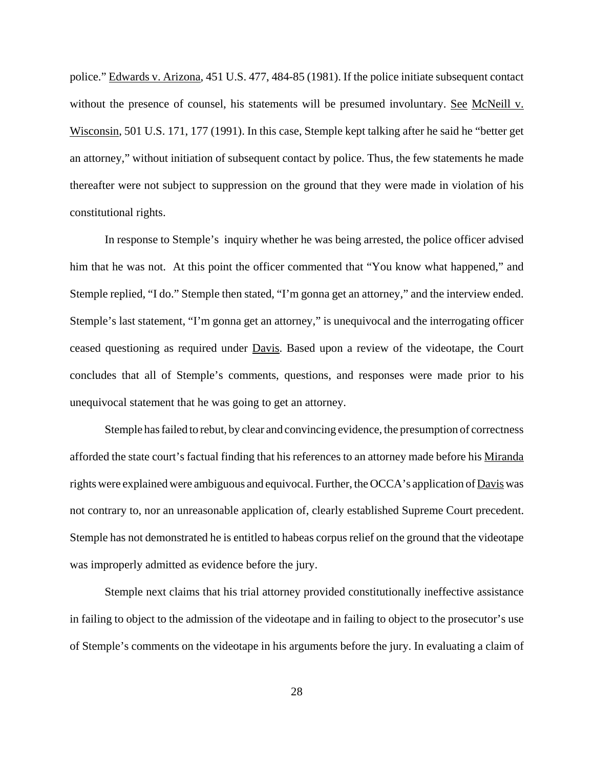police." Edwards v. Arizona, 451 U.S. 477, 484-85 (1981). If the police initiate subsequent contact without the presence of counsel, his statements will be presumed involuntary. See McNeill v. Wisconsin, 501 U.S. 171, 177 (1991). In this case, Stemple kept talking after he said he "better get an attorney," without initiation of subsequent contact by police. Thus, the few statements he made thereafter were not subject to suppression on the ground that they were made in violation of his constitutional rights.

In response to Stemple's inquiry whether he was being arrested, the police officer advised him that he was not. At this point the officer commented that "You know what happened," and Stemple replied, "I do." Stemple then stated, "I'm gonna get an attorney," and the interview ended. Stemple's last statement, "I'm gonna get an attorney," is unequivocal and the interrogating officer ceased questioning as required under Davis. Based upon a review of the videotape, the Court concludes that all of Stemple's comments, questions, and responses were made prior to his unequivocal statement that he was going to get an attorney.

Stemple has failed to rebut, by clear and convincing evidence, the presumption of correctness afforded the state court's factual finding that his references to an attorney made before his Miranda rights were explained were ambiguous and equivocal. Further, the OCCA's application of Davis was not contrary to, nor an unreasonable application of, clearly established Supreme Court precedent. Stemple has not demonstrated he is entitled to habeas corpus relief on the ground that the videotape was improperly admitted as evidence before the jury.

Stemple next claims that his trial attorney provided constitutionally ineffective assistance in failing to object to the admission of the videotape and in failing to object to the prosecutor's use of Stemple's comments on the videotape in his arguments before the jury. In evaluating a claim of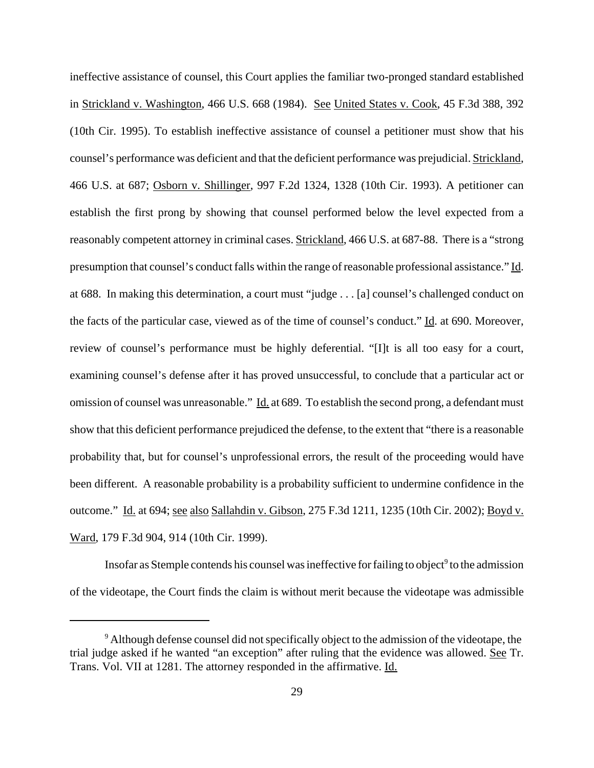ineffective assistance of counsel, this Court applies the familiar two-pronged standard established in Strickland v. Washington, 466 U.S. 668 (1984). See United States v. Cook, 45 F.3d 388, 392 (10th Cir. 1995). To establish ineffective assistance of counsel a petitioner must show that his counsel's performance was deficient and that the deficient performance was prejudicial. Strickland, 466 U.S. at 687; Osborn v. Shillinger, 997 F.2d 1324, 1328 (10th Cir. 1993). A petitioner can establish the first prong by showing that counsel performed below the level expected from a reasonably competent attorney in criminal cases. Strickland, 466 U.S. at 687-88. There is a "strong presumption that counsel's conduct falls within the range of reasonable professional assistance." Id. at 688. In making this determination, a court must "judge . . . [a] counsel's challenged conduct on the facts of the particular case, viewed as of the time of counsel's conduct." Id. at 690. Moreover, review of counsel's performance must be highly deferential. "[I]t is all too easy for a court, examining counsel's defense after it has proved unsuccessful, to conclude that a particular act or omission of counsel was unreasonable." Id. at 689. To establish the second prong, a defendant must show that this deficient performance prejudiced the defense, to the extent that "there is a reasonable probability that, but for counsel's unprofessional errors, the result of the proceeding would have been different. A reasonable probability is a probability sufficient to undermine confidence in the outcome." Id. at 694; see also Sallahdin v. Gibson, 275 F.3d 1211, 1235 (10th Cir. 2002); Boyd v. Ward, 179 F.3d 904, 914 (10th Cir. 1999).

Insofar as Stemple contends his counsel was ineffective for failing to object $^9$  to the admission of the videotape, the Court finds the claim is without merit because the videotape was admissible

<sup>&</sup>lt;sup>9</sup> Although defense counsel did not specifically object to the admission of the videotape, the trial judge asked if he wanted "an exception" after ruling that the evidence was allowed. See Tr. Trans. Vol. VII at 1281. The attorney responded in the affirmative. Id.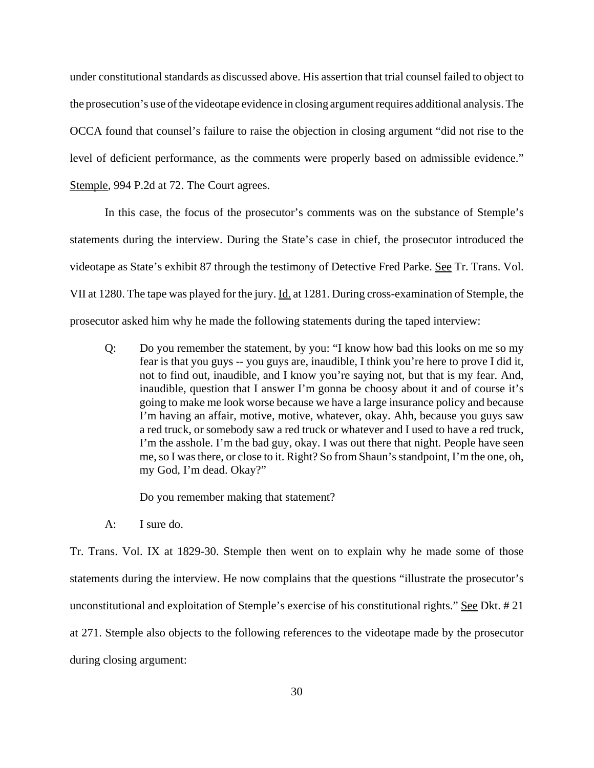under constitutional standards as discussed above. His assertion that trial counsel failed to object to the prosecution's use of the videotape evidence in closing argument requires additional analysis. The OCCA found that counsel's failure to raise the objection in closing argument "did not rise to the level of deficient performance, as the comments were properly based on admissible evidence." Stemple, 994 P.2d at 72. The Court agrees.

In this case, the focus of the prosecutor's comments was on the substance of Stemple's statements during the interview. During the State's case in chief, the prosecutor introduced the videotape as State's exhibit 87 through the testimony of Detective Fred Parke. See Tr. Trans. Vol. VII at 1280. The tape was played for the jury. Id. at 1281. During cross-examination of Stemple, the prosecutor asked him why he made the following statements during the taped interview:

Q: Do you remember the statement, by you: "I know how bad this looks on me so my fear is that you guys -- you guys are, inaudible, I think you're here to prove I did it, not to find out, inaudible, and I know you're saying not, but that is my fear. And, inaudible, question that I answer I'm gonna be choosy about it and of course it's going to make me look worse because we have a large insurance policy and because I'm having an affair, motive, motive, whatever, okay. Ahh, because you guys saw a red truck, or somebody saw a red truck or whatever and I used to have a red truck, I'm the asshole. I'm the bad guy, okay. I was out there that night. People have seen me, so I was there, or close to it. Right? So from Shaun's standpoint, I'm the one, oh, my God, I'm dead. Okay?"

Do you remember making that statement?

A: I sure do.

Tr. Trans. Vol. IX at 1829-30. Stemple then went on to explain why he made some of those statements during the interview. He now complains that the questions "illustrate the prosecutor's unconstitutional and exploitation of Stemple's exercise of his constitutional rights." See Dkt. #21 at 271. Stemple also objects to the following references to the videotape made by the prosecutor during closing argument: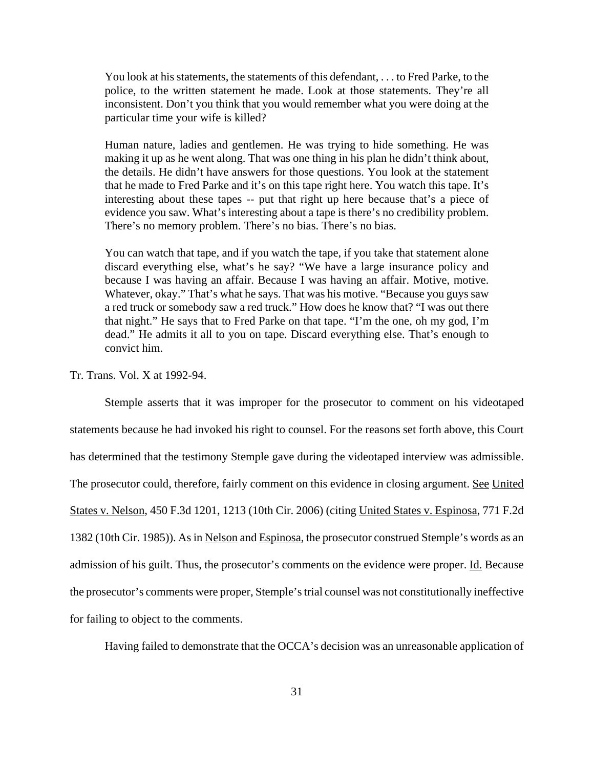You look at his statements, the statements of this defendant, . . . to Fred Parke, to the police, to the written statement he made. Look at those statements. They're all inconsistent. Don't you think that you would remember what you were doing at the particular time your wife is killed?

Human nature, ladies and gentlemen. He was trying to hide something. He was making it up as he went along. That was one thing in his plan he didn't think about, the details. He didn't have answers for those questions. You look at the statement that he made to Fred Parke and it's on this tape right here. You watch this tape. It's interesting about these tapes -- put that right up here because that's a piece of evidence you saw. What's interesting about a tape is there's no credibility problem. There's no memory problem. There's no bias. There's no bias.

You can watch that tape, and if you watch the tape, if you take that statement alone discard everything else, what's he say? "We have a large insurance policy and because I was having an affair. Because I was having an affair. Motive, motive. Whatever, okay." That's what he says. That was his motive. "Because you guys saw a red truck or somebody saw a red truck." How does he know that? "I was out there that night." He says that to Fred Parke on that tape. "I'm the one, oh my god, I'm dead." He admits it all to you on tape. Discard everything else. That's enough to convict him.

Tr. Trans. Vol. X at 1992-94.

Stemple asserts that it was improper for the prosecutor to comment on his videotaped statements because he had invoked his right to counsel. For the reasons set forth above, this Court has determined that the testimony Stemple gave during the videotaped interview was admissible. The prosecutor could, therefore, fairly comment on this evidence in closing argument. See United States v. Nelson, 450 F.3d 1201, 1213 (10th Cir. 2006) (citing United States v. Espinosa, 771 F.2d 1382 (10th Cir. 1985)). As in Nelson and Espinosa, the prosecutor construed Stemple's words as an admission of his guilt. Thus, the prosecutor's comments on the evidence were proper. Id. Because the prosecutor's comments were proper, Stemple's trial counsel was not constitutionally ineffective for failing to object to the comments.

Having failed to demonstrate that the OCCA's decision was an unreasonable application of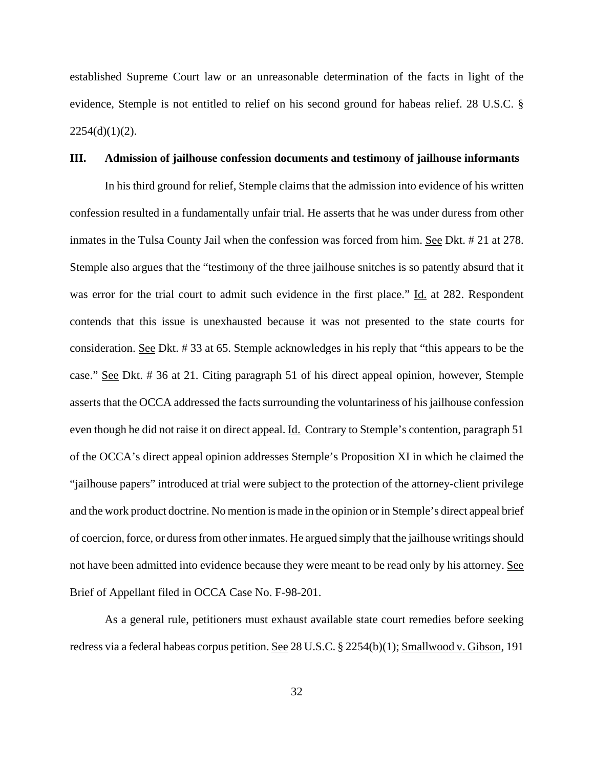established Supreme Court law or an unreasonable determination of the facts in light of the evidence, Stemple is not entitled to relief on his second ground for habeas relief. 28 U.S.C. §  $2254(d)(1)(2)$ .

#### **III. Admission of jailhouse confession documents and testimony of jailhouse informants**

In his third ground for relief, Stemple claims that the admission into evidence of his written confession resulted in a fundamentally unfair trial. He asserts that he was under duress from other inmates in the Tulsa County Jail when the confession was forced from him. See Dkt. # 21 at 278. Stemple also argues that the "testimony of the three jailhouse snitches is so patently absurd that it was error for the trial court to admit such evidence in the first place." Id. at 282. Respondent contends that this issue is unexhausted because it was not presented to the state courts for consideration. See Dkt. # 33 at 65. Stemple acknowledges in his reply that "this appears to be the case." See Dkt. # 36 at 21. Citing paragraph 51 of his direct appeal opinion, however, Stemple asserts that the OCCA addressed the facts surrounding the voluntariness of his jailhouse confession even though he did not raise it on direct appeal. <u>Id.</u> Contrary to Stemple's contention, paragraph 51 of the OCCA's direct appeal opinion addresses Stemple's Proposition XI in which he claimed the "jailhouse papers" introduced at trial were subject to the protection of the attorney-client privilege and the work product doctrine. No mention is made in the opinion or in Stemple's direct appeal brief of coercion, force, or duress from other inmates. He argued simply that the jailhouse writings should not have been admitted into evidence because they were meant to be read only by his attorney. See Brief of Appellant filed in OCCA Case No. F-98-201.

As a general rule, petitioners must exhaust available state court remedies before seeking redress via a federal habeas corpus petition. See 28 U.S.C. § 2254(b)(1); Smallwood v. Gibson, 191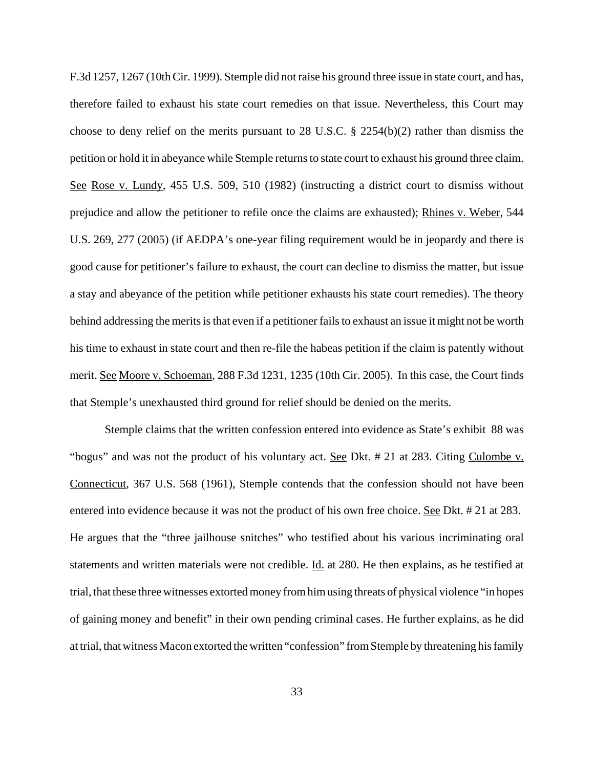F.3d 1257, 1267 (10th Cir. 1999). Stemple did not raise his ground three issue in state court, and has, therefore failed to exhaust his state court remedies on that issue. Nevertheless, this Court may choose to deny relief on the merits pursuant to 28 U.S.C. § 2254(b)(2) rather than dismiss the petition or hold it in abeyance while Stemple returns to state court to exhaust his ground three claim. See Rose v. Lundy, 455 U.S. 509, 510 (1982) (instructing a district court to dismiss without prejudice and allow the petitioner to refile once the claims are exhausted); Rhines v. Weber, 544 U.S. 269, 277 (2005) (if AEDPA's one-year filing requirement would be in jeopardy and there is good cause for petitioner's failure to exhaust, the court can decline to dismiss the matter, but issue a stay and abeyance of the petition while petitioner exhausts his state court remedies). The theory behind addressing the merits is that even if a petitioner fails to exhaust an issue it might not be worth his time to exhaust in state court and then re-file the habeas petition if the claim is patently without merit. See Moore v. Schoeman, 288 F.3d 1231, 1235 (10th Cir. 2005). In this case, the Court finds that Stemple's unexhausted third ground for relief should be denied on the merits.

Stemple claims that the written confession entered into evidence as State's exhibit 88 was "bogus" and was not the product of his voluntary act. See Dkt. # 21 at 283. Citing Culombe v. Connecticut, 367 U.S. 568 (1961), Stemple contends that the confession should not have been entered into evidence because it was not the product of his own free choice. See Dkt. # 21 at 283. He argues that the "three jailhouse snitches" who testified about his various incriminating oral statements and written materials were not credible. Id. at 280. He then explains, as he testified at trial, that these three witnesses extorted money from him using threats of physical violence "in hopes of gaining money and benefit" in their own pending criminal cases. He further explains, as he did at trial, that witness Macon extorted the written "confession" from Stemple by threatening his family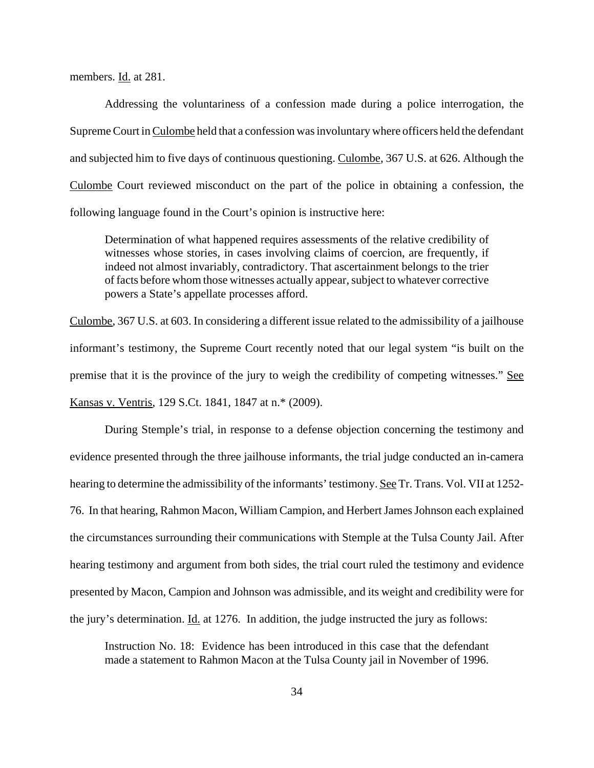members. Id. at 281.

Addressing the voluntariness of a confession made during a police interrogation, the Supreme Court in Culombe held that a confession was involuntary where officers held the defendant and subjected him to five days of continuous questioning. Culombe, 367 U.S. at 626. Although the Culombe Court reviewed misconduct on the part of the police in obtaining a confession, the following language found in the Court's opinion is instructive here:

Determination of what happened requires assessments of the relative credibility of witnesses whose stories, in cases involving claims of coercion, are frequently, if indeed not almost invariably, contradictory. That ascertainment belongs to the trier of facts before whom those witnesses actually appear, subject to whatever corrective powers a State's appellate processes afford.

Culombe, 367 U.S. at 603. In considering a different issue related to the admissibility of a jailhouse informant's testimony, the Supreme Court recently noted that our legal system "is built on the premise that it is the province of the jury to weigh the credibility of competing witnesses." See Kansas v. Ventris, 129 S.Ct. 1841, 1847 at n.\* (2009).

During Stemple's trial, in response to a defense objection concerning the testimony and evidence presented through the three jailhouse informants, the trial judge conducted an in-camera hearing to determine the admissibility of the informants' testimony. See Tr. Trans. Vol. VII at 1252-76. In that hearing, Rahmon Macon, William Campion, and Herbert James Johnson each explained the circumstances surrounding their communications with Stemple at the Tulsa County Jail. After hearing testimony and argument from both sides, the trial court ruled the testimony and evidence presented by Macon, Campion and Johnson was admissible, and its weight and credibility were for the jury's determination. Id. at 1276. In addition, the judge instructed the jury as follows:

Instruction No. 18: Evidence has been introduced in this case that the defendant made a statement to Rahmon Macon at the Tulsa County jail in November of 1996.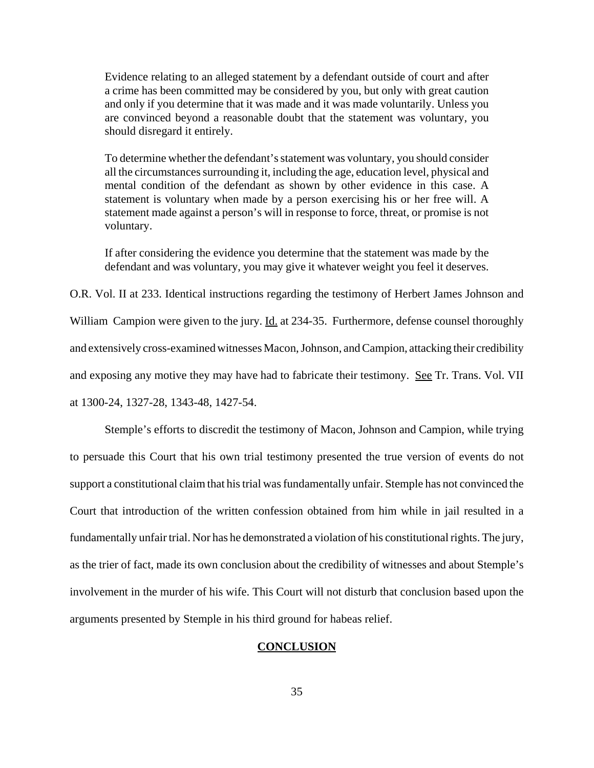Evidence relating to an alleged statement by a defendant outside of court and after a crime has been committed may be considered by you, but only with great caution and only if you determine that it was made and it was made voluntarily. Unless you are convinced beyond a reasonable doubt that the statement was voluntary, you should disregard it entirely.

To determine whether the defendant's statement was voluntary, you should consider all the circumstances surrounding it, including the age, education level, physical and mental condition of the defendant as shown by other evidence in this case. A statement is voluntary when made by a person exercising his or her free will. A statement made against a person's will in response to force, threat, or promise is not voluntary.

If after considering the evidence you determine that the statement was made by the defendant and was voluntary, you may give it whatever weight you feel it deserves.

O.R. Vol. II at 233. Identical instructions regarding the testimony of Herbert James Johnson and William Campion were given to the jury. Id. at 234-35. Furthermore, defense counsel thoroughly and extensively cross-examined witnesses Macon, Johnson, and Campion, attacking their credibility and exposing any motive they may have had to fabricate their testimony. See Tr. Trans. Vol. VII at 1300-24, 1327-28, 1343-48, 1427-54.

Stemple's efforts to discredit the testimony of Macon, Johnson and Campion, while trying to persuade this Court that his own trial testimony presented the true version of events do not support a constitutional claim that his trial was fundamentally unfair. Stemple has not convinced the Court that introduction of the written confession obtained from him while in jail resulted in a fundamentally unfair trial. Nor has he demonstrated a violation of his constitutional rights. The jury, as the trier of fact, made its own conclusion about the credibility of witnesses and about Stemple's involvement in the murder of his wife. This Court will not disturb that conclusion based upon the arguments presented by Stemple in his third ground for habeas relief.

### **CONCLUSION**